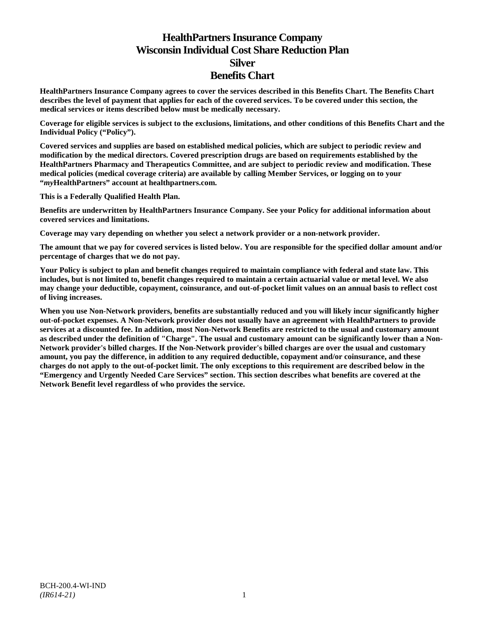# **HealthPartners Insurance Company Wisconsin Individual Cost Share Reduction Plan Silver Benefits Chart**

**HealthPartners Insurance Company agrees to cover the services described in this Benefits Chart. The Benefits Chart describes the level of payment that applies for each of the covered services. To be covered under this section, the medical services or items described below must be medically necessary.**

**Coverage for eligible services is subject to the exclusions, limitations, and other conditions of this Benefits Chart and the Individual Policy ("Policy").**

**Covered services and supplies are based on established medical policies, which are subject to periodic review and modification by the medical directors. Covered prescription drugs are based on requirements established by the HealthPartners Pharmacy and Therapeutics Committee, and are subject to periodic review and modification. These medical policies (medical coverage criteria) are available by calling Member Services, or logging on to your "***my***HealthPartners" account at [healthpartners.com.](http://www.healthpartners.com/)**

**This is a Federally Qualified Health Plan.**

**Benefits are underwritten by HealthPartners Insurance Company. See your Policy for additional information about covered services and limitations.**

**Coverage may vary depending on whether you select a network provider or a non-network provider.**

**The amount that we pay for covered services is listed below. You are responsible for the specified dollar amount and/or percentage of charges that we do not pay.**

**Your Policy is subject to plan and benefit changes required to maintain compliance with federal and state law. This includes, but is not limited to, benefit changes required to maintain a certain actuarial value or metal level. We also may change your deductible, copayment, coinsurance, and out-of-pocket limit values on an annual basis to reflect cost of living increases.**

**When you use Non-Network providers, benefits are substantially reduced and you will likely incur significantly higher out-of-pocket expenses. A Non-Network provider does not usually have an agreement with HealthPartners to provide services at a discounted fee. In addition, most Non-Network Benefits are restricted to the usual and customary amount as described under the definition of "Charge". The usual and customary amount can be significantly lower than a Non-Network provider's billed charges. If the Non-Network provider's billed charges are over the usual and customary amount, you pay the difference, in addition to any required deductible, copayment and/or coinsurance, and these charges do not apply to the out-of-pocket limit. The only exceptions to this requirement are described below in the "Emergency and Urgently Needed Care Services" section. This section describes what benefits are covered at the Network Benefit level regardless of who provides the service.**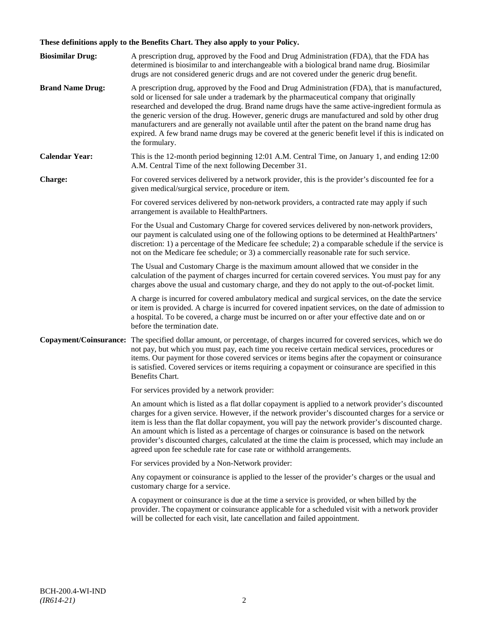## **These definitions apply to the Benefits Chart. They also apply to your Policy.**

| <b>Biosimilar Drug:</b> | A prescription drug, approved by the Food and Drug Administration (FDA), that the FDA has<br>determined is biosimilar to and interchangeable with a biological brand name drug. Biosimilar                                                                                                                                                                                                                                                                                                                                                                                                                                                                                                                                 |
|-------------------------|----------------------------------------------------------------------------------------------------------------------------------------------------------------------------------------------------------------------------------------------------------------------------------------------------------------------------------------------------------------------------------------------------------------------------------------------------------------------------------------------------------------------------------------------------------------------------------------------------------------------------------------------------------------------------------------------------------------------------|
| <b>Brand Name Drug:</b> | drugs are not considered generic drugs and are not covered under the generic drug benefit.<br>A prescription drug, approved by the Food and Drug Administration (FDA), that is manufactured,<br>sold or licensed for sale under a trademark by the pharmaceutical company that originally<br>researched and developed the drug. Brand name drugs have the same active-ingredient formula as<br>the generic version of the drug. However, generic drugs are manufactured and sold by other drug<br>manufacturers and are generally not available until after the patent on the brand name drug has<br>expired. A few brand name drugs may be covered at the generic benefit level if this is indicated on<br>the formulary. |
| <b>Calendar Year:</b>   | This is the 12-month period beginning 12:01 A.M. Central Time, on January 1, and ending 12:00<br>A.M. Central Time of the next following December 31.                                                                                                                                                                                                                                                                                                                                                                                                                                                                                                                                                                      |
| Charge:                 | For covered services delivered by a network provider, this is the provider's discounted fee for a<br>given medical/surgical service, procedure or item.                                                                                                                                                                                                                                                                                                                                                                                                                                                                                                                                                                    |
|                         | For covered services delivered by non-network providers, a contracted rate may apply if such<br>arrangement is available to HealthPartners.                                                                                                                                                                                                                                                                                                                                                                                                                                                                                                                                                                                |
|                         | For the Usual and Customary Charge for covered services delivered by non-network providers,<br>our payment is calculated using one of the following options to be determined at HealthPartners'<br>discretion: 1) a percentage of the Medicare fee schedule; 2) a comparable schedule if the service is<br>not on the Medicare fee schedule; or 3) a commercially reasonable rate for such service.                                                                                                                                                                                                                                                                                                                        |
|                         | The Usual and Customary Charge is the maximum amount allowed that we consider in the<br>calculation of the payment of charges incurred for certain covered services. You must pay for any<br>charges above the usual and customary charge, and they do not apply to the out-of-pocket limit.                                                                                                                                                                                                                                                                                                                                                                                                                               |
|                         | A charge is incurred for covered ambulatory medical and surgical services, on the date the service<br>or item is provided. A charge is incurred for covered inpatient services, on the date of admission to<br>a hospital. To be covered, a charge must be incurred on or after your effective date and on or<br>before the termination date.                                                                                                                                                                                                                                                                                                                                                                              |
| Copayment/Coinsurance:  | The specified dollar amount, or percentage, of charges incurred for covered services, which we do<br>not pay, but which you must pay, each time you receive certain medical services, procedures or<br>items. Our payment for those covered services or items begins after the copayment or coinsurance<br>is satisfied. Covered services or items requiring a copayment or coinsurance are specified in this<br>Benefits Chart.                                                                                                                                                                                                                                                                                           |
|                         | For services provided by a network provider:                                                                                                                                                                                                                                                                                                                                                                                                                                                                                                                                                                                                                                                                               |
|                         | An amount which is listed as a flat dollar copayment is applied to a network provider's discounted<br>charges for a given service. However, if the network provider's discounted charges for a service or<br>item is less than the flat dollar copayment, you will pay the network provider's discounted charge.<br>An amount which is listed as a percentage of charges or coinsurance is based on the network<br>provider's discounted charges, calculated at the time the claim is processed, which may include an<br>agreed upon fee schedule rate for case rate or withhold arrangements.                                                                                                                             |
|                         | For services provided by a Non-Network provider:                                                                                                                                                                                                                                                                                                                                                                                                                                                                                                                                                                                                                                                                           |
|                         | Any copayment or coinsurance is applied to the lesser of the provider's charges or the usual and<br>customary charge for a service.                                                                                                                                                                                                                                                                                                                                                                                                                                                                                                                                                                                        |
|                         | A copayment or coinsurance is due at the time a service is provided, or when billed by the<br>provider. The copayment or coinsurance applicable for a scheduled visit with a network provider<br>will be collected for each visit, late cancellation and failed appointment.                                                                                                                                                                                                                                                                                                                                                                                                                                               |
|                         |                                                                                                                                                                                                                                                                                                                                                                                                                                                                                                                                                                                                                                                                                                                            |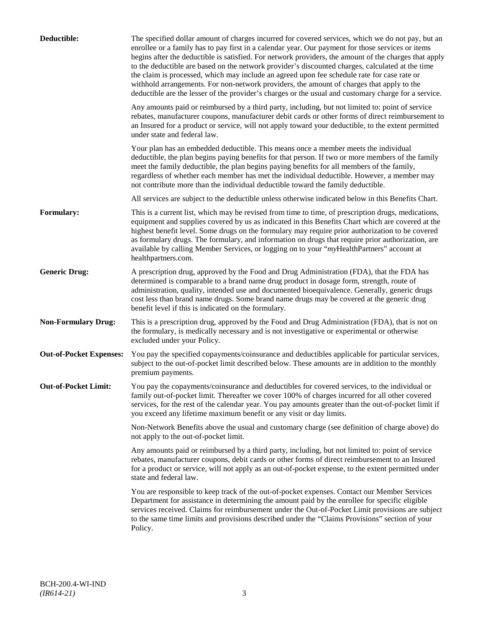| Deductible:                    | The specified dollar amount of charges incurred for covered services, which we do not pay, but an<br>enrollee or a family has to pay first in a calendar year. Our payment for those services or items<br>begins after the deductible is satisfied. For network providers, the amount of the charges that apply<br>to the deductible are based on the network provider's discounted charges, calculated at the time<br>the claim is processed, which may include an agreed upon fee schedule rate for case rate or<br>withhold arrangements. For non-network providers, the amount of charges that apply to the<br>deductible are the lesser of the provider's charges or the usual and customary charge for a service. |
|--------------------------------|-------------------------------------------------------------------------------------------------------------------------------------------------------------------------------------------------------------------------------------------------------------------------------------------------------------------------------------------------------------------------------------------------------------------------------------------------------------------------------------------------------------------------------------------------------------------------------------------------------------------------------------------------------------------------------------------------------------------------|
|                                | Any amounts paid or reimbursed by a third party, including, but not limited to: point of service<br>rebates, manufacturer coupons, manufacturer debit cards or other forms of direct reimbursement to<br>an Insured for a product or service, will not apply toward your deductible, to the extent permitted<br>under state and federal law.                                                                                                                                                                                                                                                                                                                                                                            |
|                                | Your plan has an embedded deductible. This means once a member meets the individual<br>deductible, the plan begins paying benefits for that person. If two or more members of the family<br>meet the family deductible, the plan begins paying benefits for all members of the family,<br>regardless of whether each member has met the individual deductible. However, a member may<br>not contribute more than the individual deductible toward the family deductible.                                                                                                                                                                                                                                                |
|                                | All services are subject to the deductible unless otherwise indicated below in this Benefits Chart.                                                                                                                                                                                                                                                                                                                                                                                                                                                                                                                                                                                                                     |
| <b>Formulary:</b>              | This is a current list, which may be revised from time to time, of prescription drugs, medications,<br>equipment and supplies covered by us as indicated in this Benefits Chart which are covered at the<br>highest benefit level. Some drugs on the formulary may require prior authorization to be covered<br>as formulary drugs. The formulary, and information on drugs that require prior authorization, are<br>available by calling Member Services, or logging on to your "myHealthPartners" account at<br>healthpartners.com.                                                                                                                                                                                   |
| <b>Generic Drug:</b>           | A prescription drug, approved by the Food and Drug Administration (FDA), that the FDA has<br>determined is comparable to a brand name drug product in dosage form, strength, route of<br>administration, quality, intended use and documented bioequivalence. Generally, generic drugs<br>cost less than brand name drugs. Some brand name drugs may be covered at the generic drug<br>benefit level if this is indicated on the formulary.                                                                                                                                                                                                                                                                             |
| <b>Non-Formulary Drug:</b>     | This is a prescription drug, approved by the Food and Drug Administration (FDA), that is not on<br>the formulary, is medically necessary and is not investigative or experimental or otherwise<br>excluded under your Policy.                                                                                                                                                                                                                                                                                                                                                                                                                                                                                           |
| <b>Out-of-Pocket Expenses:</b> | You pay the specified copayments/coinsurance and deductibles applicable for particular services,<br>subject to the out-of-pocket limit described below. These amounts are in addition to the monthly<br>premium payments.                                                                                                                                                                                                                                                                                                                                                                                                                                                                                               |
| <b>Out-of-Pocket Limit:</b>    | You pay the copayments/coinsurance and deductibles for covered services, to the individual or<br>family out-of-pocket limit. Thereafter we cover 100% of charges incurred for all other covered<br>services, for the rest of the calendar year. You pay amounts greater than the out-of-pocket limit if<br>you exceed any lifetime maximum benefit or any visit or day limits.                                                                                                                                                                                                                                                                                                                                          |
|                                | Non-Network Benefits above the usual and customary charge (see definition of charge above) do<br>not apply to the out-of-pocket limit.                                                                                                                                                                                                                                                                                                                                                                                                                                                                                                                                                                                  |
|                                | Any amounts paid or reimbursed by a third party, including, but not limited to: point of service<br>rebates, manufacturer coupons, debit cards or other forms of direct reimbursement to an Insured<br>for a product or service, will not apply as an out-of-pocket expense, to the extent permitted under<br>state and federal law.                                                                                                                                                                                                                                                                                                                                                                                    |
|                                | You are responsible to keep track of the out-of-pocket expenses. Contact our Member Services<br>Department for assistance in determining the amount paid by the enrollee for specific eligible<br>services received. Claims for reimbursement under the Out-of-Pocket Limit provisions are subject<br>to the same time limits and provisions described under the "Claims Provisions" section of your<br>Policy.                                                                                                                                                                                                                                                                                                         |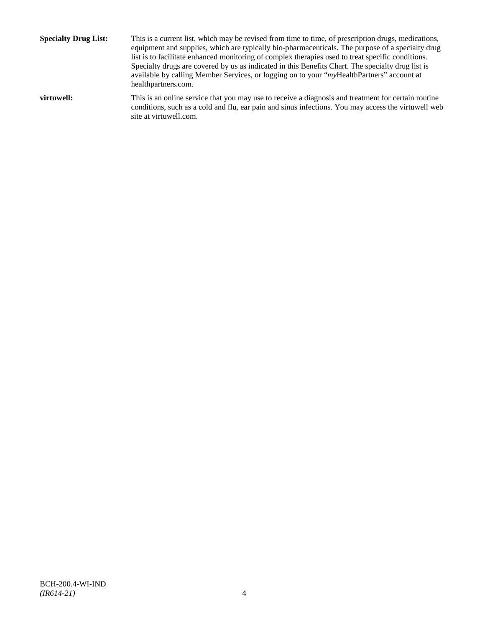**Specialty Drug List:** This is a current list, which may be revised from time to time, of prescription drugs, medications, equipment and supplies, which are typically bio-pharmaceuticals. The purpose of a specialty drug list is to facilitate enhanced monitoring of complex therapies used to treat specific conditions. Specialty drugs are covered by us as indicated in this Benefits Chart. The specialty drug list is available by calling Member Services, or logging on to your "*my*HealthPartners" account at [healthpartners.com.](http://www.healthpartners.com/) **virtuwell:** This is an online service that you may use to receive a diagnosis and treatment for certain routine conditions, such as a cold and flu, ear pain and sinus infections. You may access the virtuwell web

site a[t virtuwell.com.](http://www.virtuwell.com/)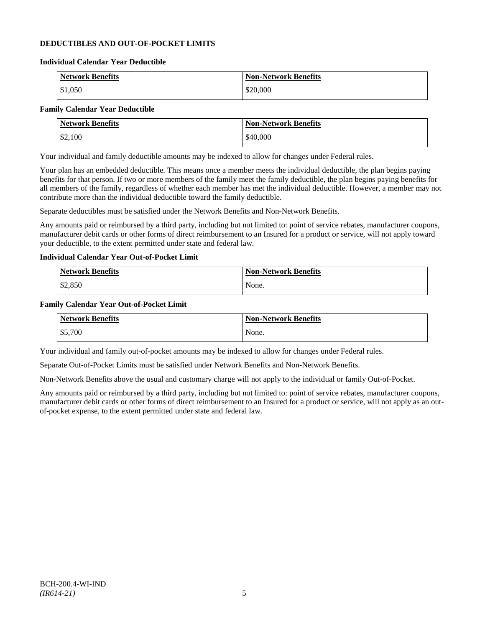## **DEDUCTIBLES AND OUT-OF-POCKET LIMITS**

#### **Individual Calendar Year Deductible**

| <b>Network Benefits</b> | <b>Non-Network Benefits</b> |
|-------------------------|-----------------------------|
| \$1,050                 | \$20,000                    |

## **Family Calendar Year Deductible**

| <b>Network Benefits</b> | <b>Non-Network Benefits</b> |
|-------------------------|-----------------------------|
| \$2,100                 | \$40,000                    |

Your individual and family deductible amounts may be indexed to allow for changes under Federal rules.

Your plan has an embedded deductible. This means once a member meets the individual deductible, the plan begins paying benefits for that person. If two or more members of the family meet the family deductible, the plan begins paying benefits for all members of the family, regardless of whether each member has met the individual deductible. However, a member may not contribute more than the individual deductible toward the family deductible.

Separate deductibles must be satisfied under the Network Benefits and Non-Network Benefits.

Any amounts paid or reimbursed by a third party, including but not limited to: point of service rebates, manufacturer coupons, manufacturer debit cards or other forms of direct reimbursement to an Insured for a product or service, will not apply toward your deductible, to the extent permitted under state and federal law.

## **Individual Calendar Year Out-of-Pocket Limit**

| Network Benefits | <b>Non-Network Benefits</b> |
|------------------|-----------------------------|
| \$2,850          | None.                       |

### **Family Calendar Year Out-of-Pocket Limit**

| <b>Network Benefits</b> | <b>Non-Network Benefits</b> |
|-------------------------|-----------------------------|
| \$5,700                 | None.                       |

Your individual and family out-of-pocket amounts may be indexed to allow for changes under Federal rules.

Separate Out-of-Pocket Limits must be satisfied under Network Benefits and Non-Network Benefits.

Non-Network Benefits above the usual and customary charge will not apply to the individual or family Out-of-Pocket.

Any amounts paid or reimbursed by a third party, including but not limited to: point of service rebates, manufacturer coupons, manufacturer debit cards or other forms of direct reimbursement to an Insured for a product or service, will not apply as an outof-pocket expense, to the extent permitted under state and federal law.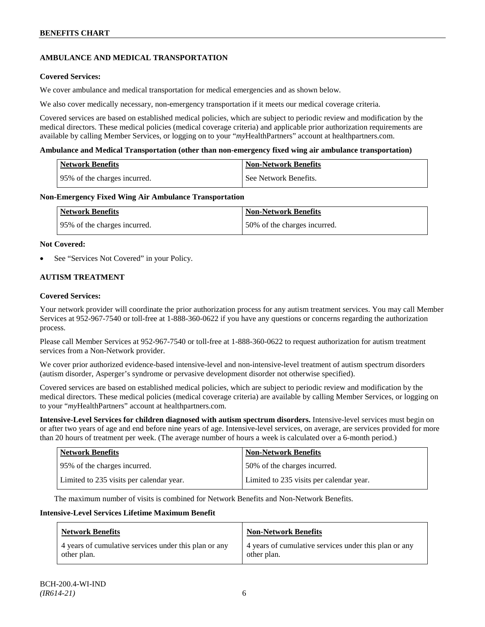## **AMBULANCE AND MEDICAL TRANSPORTATION**

## **Covered Services:**

We cover ambulance and medical transportation for medical emergencies and as shown below.

We also cover medically necessary, non-emergency transportation if it meets our medical coverage criteria.

Covered services are based on established medical policies, which are subject to periodic review and modification by the medical directors. These medical policies (medical coverage criteria) and applicable prior authorization requirements are available by calling Member Services, or logging on to your "*my*HealthPartners" account a[t healthpartners.com.](http://www.healthpartners.com/)

### **Ambulance and Medical Transportation (other than non-emergency fixed wing air ambulance transportation)**

| <b>Network Benefits</b>       | Non-Network Benefits    |
|-------------------------------|-------------------------|
| 195% of the charges incurred. | l See Network Benefits. |

### **Non-Emergency Fixed Wing Air Ambulance Transportation**

| <b>Network Benefits</b>      | <b>Non-Network Benefits</b>  |
|------------------------------|------------------------------|
| 95% of the charges incurred. | 50% of the charges incurred. |

### **Not Covered:**

See "Services Not Covered" in your Policy.

## **AUTISM TREATMENT**

### **Covered Services:**

Your network provider will coordinate the prior authorization process for any autism treatment services. You may call Member Services at 952-967-7540 or toll-free at 1-888-360-0622 if you have any questions or concerns regarding the authorization process.

Please call Member Services at 952-967-7540 or toll-free at 1-888-360-0622 to request authorization for autism treatment services from a Non-Network provider.

We cover prior authorized evidence-based intensive-level and non-intensive-level treatment of autism spectrum disorders (autism disorder, Asperger's syndrome or pervasive development disorder not otherwise specified).

Covered services are based on established medical policies, which are subject to periodic review and modification by the medical directors. These medical policies (medical coverage criteria) are available by calling Member Services, or logging on to your "*my*HealthPartners" account at [healthpartners.com.](http://www.healthpartners.com/)

**Intensive-Level Services for children diagnosed with autism spectrum disorders.** Intensive-level services must begin on or after two years of age and end before nine years of age. Intensive-level services, on average, are services provided for more than 20 hours of treatment per week. (The average number of hours a week is calculated over a 6-month period.)

| <b>Network Benefits</b>                  | <b>Non-Network Benefits</b>              |
|------------------------------------------|------------------------------------------|
| 95% of the charges incurred.             | 50% of the charges incurred.             |
| Limited to 235 visits per calendar year. | Limited to 235 visits per calendar year. |

The maximum number of visits is combined for Network Benefits and Non-Network Benefits.

#### **Intensive-Level Services Lifetime Maximum Benefit**

| <b>Network Benefits</b>                               | <b>Non-Network Benefits</b>                           |
|-------------------------------------------------------|-------------------------------------------------------|
| 4 years of cumulative services under this plan or any | 4 years of cumulative services under this plan or any |
| other plan.                                           | other plan.                                           |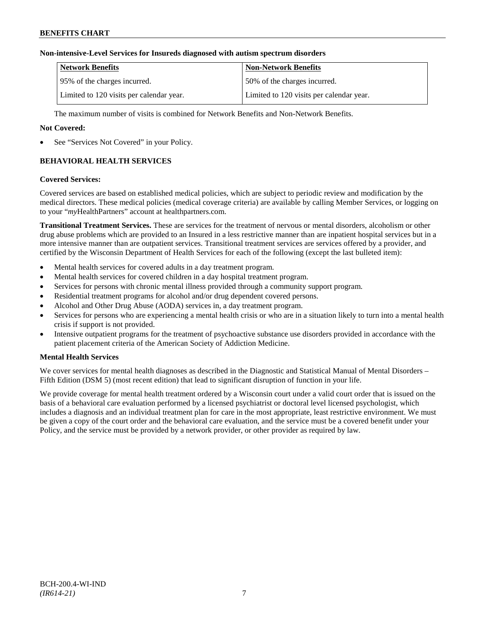## **Non-intensive-Level Services for Insureds diagnosed with autism spectrum disorders**

| Network Benefits                         | <b>Non-Network Benefits</b>              |
|------------------------------------------|------------------------------------------|
| 195% of the charges incurred.            | 50% of the charges incurred.             |
| Limited to 120 visits per calendar year. | Limited to 120 visits per calendar year. |

The maximum number of visits is combined for Network Benefits and Non-Network Benefits.

## **Not Covered:**

See "Services Not Covered" in your Policy.

## **BEHAVIORAL HEALTH SERVICES**

#### **Covered Services:**

Covered services are based on established medical policies, which are subject to periodic review and modification by the medical directors. These medical policies (medical coverage criteria) are available by calling Member Services, or logging on to your "*my*HealthPartners" account at [healthpartners.com.](http://www.healthpartners.com/)

**Transitional Treatment Services.** These are services for the treatment of nervous or mental disorders, alcoholism or other drug abuse problems which are provided to an Insured in a less restrictive manner than are inpatient hospital services but in a more intensive manner than are outpatient services. Transitional treatment services are services offered by a provider, and certified by the Wisconsin Department of Health Services for each of the following (except the last bulleted item):

- Mental health services for covered adults in a day treatment program.
- Mental health services for covered children in a day hospital treatment program.
- Services for persons with chronic mental illness provided through a community support program.
- Residential treatment programs for alcohol and/or drug dependent covered persons.
- Alcohol and Other Drug Abuse (AODA) services in, a day treatment program.
- Services for persons who are experiencing a mental health crisis or who are in a situation likely to turn into a mental health crisis if support is not provided.
- Intensive outpatient programs for the treatment of psychoactive substance use disorders provided in accordance with the patient placement criteria of the American Society of Addiction Medicine.

## **Mental Health Services**

We cover services for mental health diagnoses as described in the Diagnostic and Statistical Manual of Mental Disorders – Fifth Edition (DSM 5) (most recent edition) that lead to significant disruption of function in your life.

We provide coverage for mental health treatment ordered by a Wisconsin court under a valid court order that is issued on the basis of a behavioral care evaluation performed by a licensed psychiatrist or doctoral level licensed psychologist, which includes a diagnosis and an individual treatment plan for care in the most appropriate, least restrictive environment. We must be given a copy of the court order and the behavioral care evaluation, and the service must be a covered benefit under your Policy, and the service must be provided by a network provider, or other provider as required by law.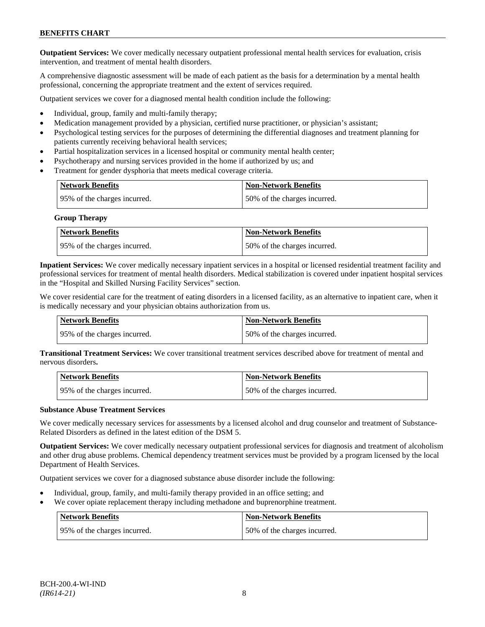**Outpatient Services:** We cover medically necessary outpatient professional mental health services for evaluation, crisis intervention, and treatment of mental health disorders.

A comprehensive diagnostic assessment will be made of each patient as the basis for a determination by a mental health professional, concerning the appropriate treatment and the extent of services required.

Outpatient services we cover for a diagnosed mental health condition include the following:

- Individual, group, family and multi-family therapy;
- Medication management provided by a physician, certified nurse practitioner, or physician's assistant;
- Psychological testing services for the purposes of determining the differential diagnoses and treatment planning for patients currently receiving behavioral health services;
- Partial hospitalization services in a licensed hospital or community mental health center;
- Psychotherapy and nursing services provided in the home if authorized by us; and
- Treatment for gender dysphoria that meets medical coverage criteria.

| <b>Network Benefits</b>      | <b>Non-Network Benefits</b>  |
|------------------------------|------------------------------|
| 95% of the charges incurred. | 50% of the charges incurred. |

**Group Therapy**

| Network Benefits             | <b>Non-Network Benefits</b>  |
|------------------------------|------------------------------|
| 95% of the charges incurred. | 50% of the charges incurred. |

**Inpatient Services:** We cover medically necessary inpatient services in a hospital or licensed residential treatment facility and professional services for treatment of mental health disorders. Medical stabilization is covered under inpatient hospital services in the "Hospital and Skilled Nursing Facility Services" section.

We cover residential care for the treatment of eating disorders in a licensed facility, as an alternative to inpatient care, when it is medically necessary and your physician obtains authorization from us.

| Network Benefits             | Non-Network Benefits         |
|------------------------------|------------------------------|
| 95% of the charges incurred. | 50% of the charges incurred. |

**Transitional Treatment Services:** We cover transitional treatment services described above for treatment of mental and nervous disorders**.**

| <b>Network Benefits</b>       | <b>Non-Network Benefits</b>  |
|-------------------------------|------------------------------|
| 195% of the charges incurred. | 50% of the charges incurred. |

## **Substance Abuse Treatment Services**

We cover medically necessary services for assessments by a licensed alcohol and drug counselor and treatment of Substance-Related Disorders as defined in the latest edition of the DSM 5.

**Outpatient Services:** We cover medically necessary outpatient professional services for diagnosis and treatment of alcoholism and other drug abuse problems. Chemical dependency treatment services must be provided by a program licensed by the local Department of Health Services.

Outpatient services we cover for a diagnosed substance abuse disorder include the following:

- Individual, group, family, and multi-family therapy provided in an office setting; and
- We cover opiate replacement therapy including methadone and buprenorphine treatment.

| <b>Network Benefits</b>      | <b>Non-Network Benefits</b>  |
|------------------------------|------------------------------|
| 95% of the charges incurred. | 50% of the charges incurred. |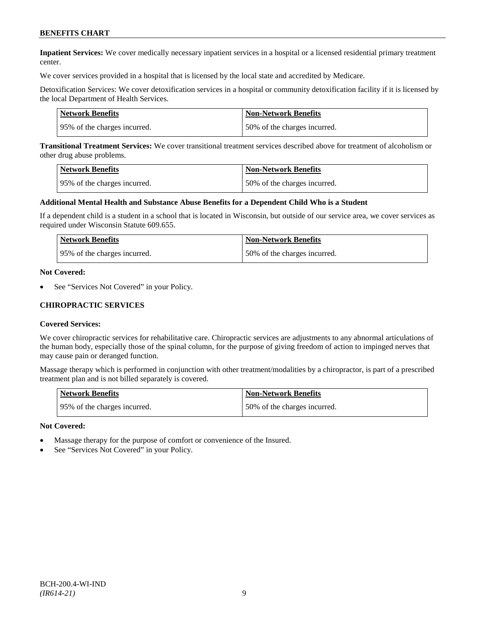**Inpatient Services:** We cover medically necessary inpatient services in a hospital or a licensed residential primary treatment center.

We cover services provided in a hospital that is licensed by the local state and accredited by Medicare.

Detoxification Services: We cover detoxification services in a hospital or community detoxification facility if it is licensed by the local Department of Health Services.

| Network Benefits             | <b>Non-Network Benefits</b>  |
|------------------------------|------------------------------|
| 95% of the charges incurred. | 50% of the charges incurred. |

**Transitional Treatment Services:** We cover transitional treatment services described above for treatment of alcoholism or other drug abuse problems.

| <b>Network Benefits</b>      | <b>Non-Network Benefits</b>  |
|------------------------------|------------------------------|
| 95% of the charges incurred. | 50% of the charges incurred. |

#### **Additional Mental Health and Substance Abuse Benefits for a Dependent Child Who is a Student**

If a dependent child is a student in a school that is located in Wisconsin, but outside of our service area, we cover services as required under Wisconsin Statute 609.655.

| <b>Network Benefits</b>      | Non-Network Benefits         |
|------------------------------|------------------------------|
| 95% of the charges incurred. | 50% of the charges incurred. |

#### **Not Covered:**

See "Services Not Covered" in your Policy.

### **CHIROPRACTIC SERVICES**

#### **Covered Services:**

We cover chiropractic services for rehabilitative care. Chiropractic services are adjustments to any abnormal articulations of the human body, especially those of the spinal column, for the purpose of giving freedom of action to impinged nerves that may cause pain or deranged function.

Massage therapy which is performed in conjunction with other treatment/modalities by a chiropractor, is part of a prescribed treatment plan and is not billed separately is covered.

| <b>Network Benefits</b>      | <b>Non-Network Benefits</b>  |
|------------------------------|------------------------------|
| 95% of the charges incurred. | 50% of the charges incurred. |

#### **Not Covered:**

- Massage therapy for the purpose of comfort or convenience of the Insured.
- See "Services Not Covered" in your Policy.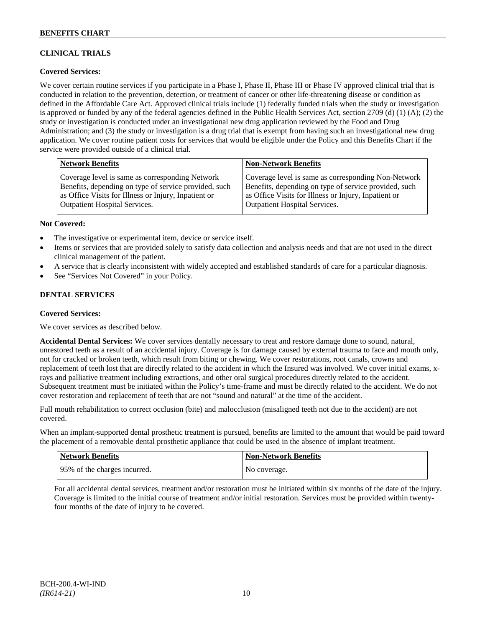## **CLINICAL TRIALS**

## **Covered Services:**

We cover certain routine services if you participate in a Phase I, Phase II, Phase III or Phase IV approved clinical trial that is conducted in relation to the prevention, detection, or treatment of cancer or other life-threatening disease or condition as defined in the Affordable Care Act. Approved clinical trials include (1) federally funded trials when the study or investigation is approved or funded by any of the federal agencies defined in the Public Health Services Act, section 2709 (d) (1) (A); (2) the study or investigation is conducted under an investigational new drug application reviewed by the Food and Drug Administration; and (3) the study or investigation is a drug trial that is exempt from having such an investigational new drug application. We cover routine patient costs for services that would be eligible under the Policy and this Benefits Chart if the service were provided outside of a clinical trial.

| <b>Network Benefits</b>                               | <b>Non-Network Benefits</b>                           |
|-------------------------------------------------------|-------------------------------------------------------|
| Coverage level is same as corresponding Network       | Coverage level is same as corresponding Non-Network   |
| Benefits, depending on type of service provided, such | Benefits, depending on type of service provided, such |
| as Office Visits for Illness or Injury, Inpatient or  | as Office Visits for Illness or Injury, Inpatient or  |
| <b>Outpatient Hospital Services.</b>                  | <b>Outpatient Hospital Services.</b>                  |

## **Not Covered:**

- The investigative or experimental item, device or service itself.
- Items or services that are provided solely to satisfy data collection and analysis needs and that are not used in the direct clinical management of the patient.
- A service that is clearly inconsistent with widely accepted and established standards of care for a particular diagnosis.
- See "Services Not Covered" in your Policy.

## **DENTAL SERVICES**

## **Covered Services:**

We cover services as described below.

**Accidental Dental Services:** We cover services dentally necessary to treat and restore damage done to sound, natural, unrestored teeth as a result of an accidental injury. Coverage is for damage caused by external trauma to face and mouth only, not for cracked or broken teeth, which result from biting or chewing. We cover restorations, root canals, crowns and replacement of teeth lost that are directly related to the accident in which the Insured was involved. We cover initial exams, xrays and palliative treatment including extractions, and other oral surgical procedures directly related to the accident. Subsequent treatment must be initiated within the Policy's time-frame and must be directly related to the accident. We do not cover restoration and replacement of teeth that are not "sound and natural" at the time of the accident.

Full mouth rehabilitation to correct occlusion (bite) and malocclusion (misaligned teeth not due to the accident) are not covered.

When an implant-supported dental prosthetic treatment is pursued, benefits are limited to the amount that would be paid toward the placement of a removable dental prosthetic appliance that could be used in the absence of implant treatment.

| Network Benefits             | <b>Non-Network Benefits</b> |
|------------------------------|-----------------------------|
| 95% of the charges incurred. | No coverage.                |

For all accidental dental services, treatment and/or restoration must be initiated within six months of the date of the injury. Coverage is limited to the initial course of treatment and/or initial restoration. Services must be provided within twentyfour months of the date of injury to be covered.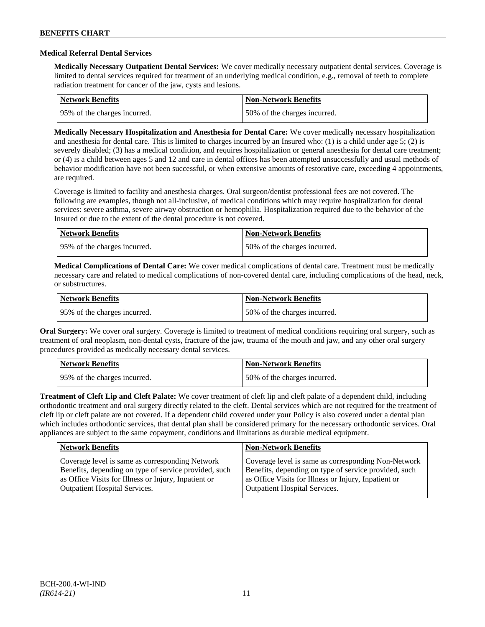### **Medical Referral Dental Services**

**Medically Necessary Outpatient Dental Services:** We cover medically necessary outpatient dental services. Coverage is limited to dental services required for treatment of an underlying medical condition, e.g., removal of teeth to complete radiation treatment for cancer of the jaw, cysts and lesions.

| <b>Network Benefits</b>      | Non-Network Benefits         |
|------------------------------|------------------------------|
| 95% of the charges incurred. | 50% of the charges incurred. |

**Medically Necessary Hospitalization and Anesthesia for Dental Care:** We cover medically necessary hospitalization and anesthesia for dental care. This is limited to charges incurred by an Insured who: (1) is a child under age 5; (2) is severely disabled; (3) has a medical condition, and requires hospitalization or general anesthesia for dental care treatment; or (4) is a child between ages 5 and 12 and care in dental offices has been attempted unsuccessfully and usual methods of behavior modification have not been successful, or when extensive amounts of restorative care, exceeding 4 appointments, are required.

Coverage is limited to facility and anesthesia charges. Oral surgeon/dentist professional fees are not covered. The following are examples, though not all-inclusive, of medical conditions which may require hospitalization for dental services: severe asthma, severe airway obstruction or hemophilia. Hospitalization required due to the behavior of the Insured or due to the extent of the dental procedure is not covered.

| Network Benefits             | <b>Non-Network Benefits</b>  |
|------------------------------|------------------------------|
| 95% of the charges incurred. | 50% of the charges incurred. |

**Medical Complications of Dental Care:** We cover medical complications of dental care. Treatment must be medically necessary care and related to medical complications of non-covered dental care, including complications of the head, neck, or substructures.

| Network Benefits             | <b>Non-Network Benefits</b>  |
|------------------------------|------------------------------|
| 95% of the charges incurred. | 50% of the charges incurred. |

**Oral Surgery:** We cover oral surgery. Coverage is limited to treatment of medical conditions requiring oral surgery, such as treatment of oral neoplasm, non-dental cysts, fracture of the jaw, trauma of the mouth and jaw, and any other oral surgery procedures provided as medically necessary dental services.

| Network Benefits              | <b>Non-Network Benefits</b>  |
|-------------------------------|------------------------------|
| 195% of the charges incurred. | 50% of the charges incurred. |

**Treatment of Cleft Lip and Cleft Palate:** We cover treatment of cleft lip and cleft palate of a dependent child, including orthodontic treatment and oral surgery directly related to the cleft. Dental services which are not required for the treatment of cleft lip or cleft palate are not covered. If a dependent child covered under your Policy is also covered under a dental plan which includes orthodontic services, that dental plan shall be considered primary for the necessary orthodontic services. Oral appliances are subject to the same copayment, conditions and limitations as durable medical equipment.

| <b>Network Benefits</b>                               | <b>Non-Network Benefits</b>                           |
|-------------------------------------------------------|-------------------------------------------------------|
| Coverage level is same as corresponding Network       | Coverage level is same as corresponding Non-Network   |
| Benefits, depending on type of service provided, such | Benefits, depending on type of service provided, such |
| as Office Visits for Illness or Injury, Inpatient or  | as Office Visits for Illness or Injury, Inpatient or  |
| <b>Outpatient Hospital Services.</b>                  | <b>Outpatient Hospital Services.</b>                  |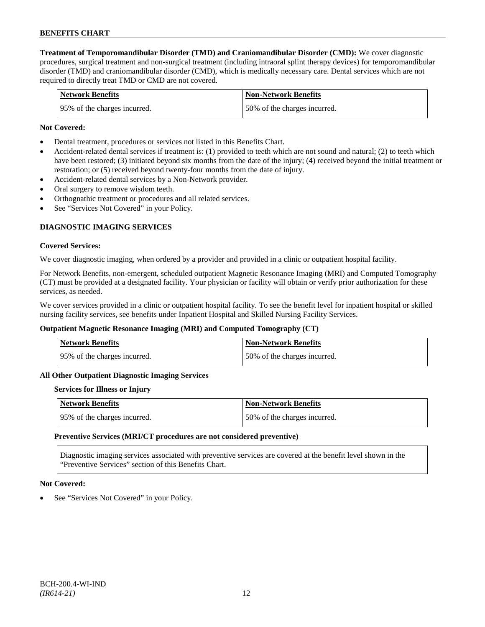**Treatment of Temporomandibular Disorder (TMD) and Craniomandibular Disorder (CMD):** We cover diagnostic procedures, surgical treatment and non-surgical treatment (including intraoral splint therapy devices) for temporomandibular disorder (TMD) and craniomandibular disorder (CMD), which is medically necessary care. Dental services which are not required to directly treat TMD or CMD are not covered.

| <b>Network Benefits</b>      | <b>Non-Network Benefits</b>  |
|------------------------------|------------------------------|
| 95% of the charges incurred. | 50% of the charges incurred. |

### **Not Covered:**

- Dental treatment, procedures or services not listed in this Benefits Chart.
- Accident-related dental services if treatment is: (1) provided to teeth which are not sound and natural; (2) to teeth which have been restored; (3) initiated beyond six months from the date of the injury; (4) received beyond the initial treatment or restoration; or (5) received beyond twenty-four months from the date of injury.
- Accident-related dental services by a Non-Network provider.
- Oral surgery to remove wisdom teeth.
- Orthognathic treatment or procedures and all related services.
- See "Services Not Covered" in your Policy.

## **DIAGNOSTIC IMAGING SERVICES**

#### **Covered Services:**

We cover diagnostic imaging, when ordered by a provider and provided in a clinic or outpatient hospital facility.

For Network Benefits, non-emergent, scheduled outpatient Magnetic Resonance Imaging (MRI) and Computed Tomography (CT) must be provided at a designated facility. Your physician or facility will obtain or verify prior authorization for these services, as needed.

We cover services provided in a clinic or outpatient hospital facility. To see the benefit level for inpatient hospital or skilled nursing facility services, see benefits under Inpatient Hospital and Skilled Nursing Facility Services.

#### **Outpatient Magnetic Resonance Imaging (MRI) and Computed Tomography (CT)**

| <b>Network Benefits</b>      | <b>Non-Network Benefits</b>  |
|------------------------------|------------------------------|
| 95% of the charges incurred. | 50% of the charges incurred. |

#### **All Other Outpatient Diagnostic Imaging Services**

#### **Services for Illness or Injury**

| Network Benefits              | <b>Non-Network Benefits</b>  |
|-------------------------------|------------------------------|
| 195% of the charges incurred. | 50% of the charges incurred. |

#### **Preventive Services (MRI/CT procedures are not considered preventive)**

Diagnostic imaging services associated with preventive services are covered at the benefit level shown in the "Preventive Services" section of this Benefits Chart.

#### **Not Covered:**

See "Services Not Covered" in your Policy.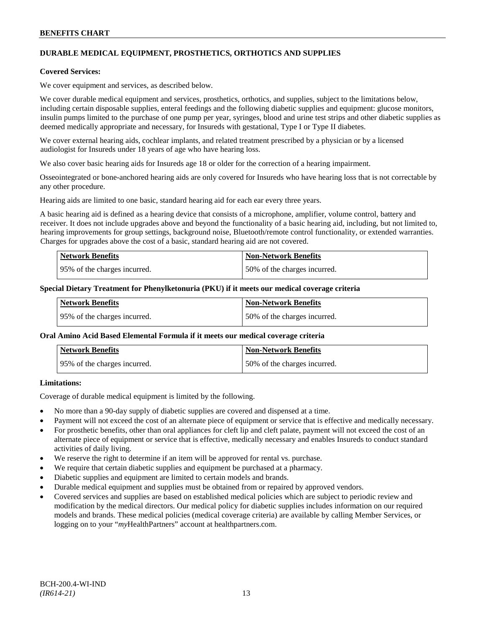## **DURABLE MEDICAL EQUIPMENT, PROSTHETICS, ORTHOTICS AND SUPPLIES**

#### **Covered Services:**

We cover equipment and services, as described below.

We cover durable medical equipment and services, prosthetics, orthotics, and supplies, subject to the limitations below, including certain disposable supplies, enteral feedings and the following diabetic supplies and equipment: glucose monitors, insulin pumps limited to the purchase of one pump per year, syringes, blood and urine test strips and other diabetic supplies as deemed medically appropriate and necessary, for Insureds with gestational, Type I or Type II diabetes.

We cover external hearing aids, cochlear implants, and related treatment prescribed by a physician or by a licensed audiologist for Insureds under 18 years of age who have hearing loss.

We also cover basic hearing aids for Insureds age 18 or older for the correction of a hearing impairment.

Osseointegrated or bone-anchored hearing aids are only covered for Insureds who have hearing loss that is not correctable by any other procedure.

Hearing aids are limited to one basic, standard hearing aid for each ear every three years.

A basic hearing aid is defined as a hearing device that consists of a microphone, amplifier, volume control, battery and receiver. It does not include upgrades above and beyond the functionality of a basic hearing aid, including, but not limited to, hearing improvements for group settings, background noise, Bluetooth/remote control functionality, or extended warranties. Charges for upgrades above the cost of a basic, standard hearing aid are not covered.

| <b>Network Benefits</b>      | <b>Non-Network Benefits</b>  |
|------------------------------|------------------------------|
| 95% of the charges incurred. | 50% of the charges incurred. |

#### **Special Dietary Treatment for Phenylketonuria (PKU) if it meets our medical coverage criteria**

| <b>Network Benefits</b>      | <b>Non-Network Benefits</b>  |
|------------------------------|------------------------------|
| 95% of the charges incurred. | 50% of the charges incurred. |

#### **Oral Amino Acid Based Elemental Formula if it meets our medical coverage criteria**

| <b>Network Benefits</b>       | <b>Non-Network Benefits</b>  |
|-------------------------------|------------------------------|
| 195% of the charges incurred. | 50% of the charges incurred. |

## **Limitations:**

Coverage of durable medical equipment is limited by the following.

- No more than a 90-day supply of diabetic supplies are covered and dispensed at a time.
- Payment will not exceed the cost of an alternate piece of equipment or service that is effective and medically necessary.
- For prosthetic benefits, other than oral appliances for cleft lip and cleft palate, payment will not exceed the cost of an alternate piece of equipment or service that is effective, medically necessary and enables Insureds to conduct standard activities of daily living.
- We reserve the right to determine if an item will be approved for rental vs. purchase.
- We require that certain diabetic supplies and equipment be purchased at a pharmacy.
- Diabetic supplies and equipment are limited to certain models and brands.
- Durable medical equipment and supplies must be obtained from or repaired by approved vendors.
- Covered services and supplies are based on established medical policies which are subject to periodic review and modification by the medical directors. Our medical policy for diabetic supplies includes information on our required models and brands. These medical policies (medical coverage criteria) are available by calling Member Services, or logging on to your "*my*HealthPartners" account at [healthpartners.com.](http://www.healthpartners.com/)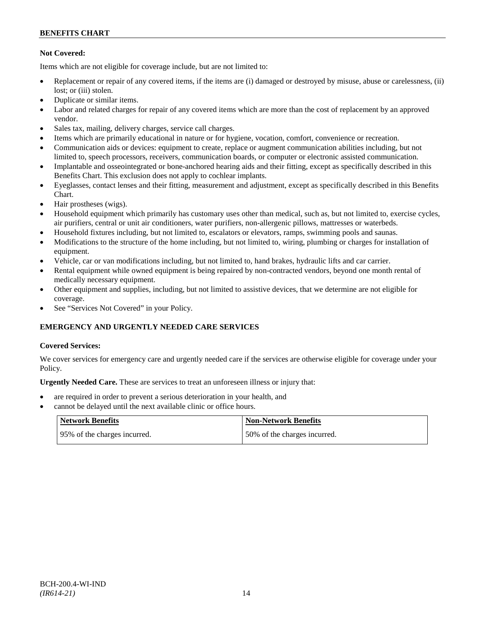## **Not Covered:**

Items which are not eligible for coverage include, but are not limited to:

- Replacement or repair of any covered items, if the items are (i) damaged or destroyed by misuse, abuse or carelessness, (ii) lost: or (iii) stolen.
- Duplicate or similar items.
- Labor and related charges for repair of any covered items which are more than the cost of replacement by an approved vendor.
- Sales tax, mailing, delivery charges, service call charges.
- Items which are primarily educational in nature or for hygiene, vocation, comfort, convenience or recreation.
- Communication aids or devices: equipment to create, replace or augment communication abilities including, but not limited to, speech processors, receivers, communication boards, or computer or electronic assisted communication.
- Implantable and osseointegrated or bone-anchored hearing aids and their fitting, except as specifically described in this Benefits Chart. This exclusion does not apply to cochlear implants.
- Eyeglasses, contact lenses and their fitting, measurement and adjustment, except as specifically described in this Benefits Chart.
- Hair prostheses (wigs).
- Household equipment which primarily has customary uses other than medical, such as, but not limited to, exercise cycles, air purifiers, central or unit air conditioners, water purifiers, non-allergenic pillows, mattresses or waterbeds.
- Household fixtures including, but not limited to, escalators or elevators, ramps, swimming pools and saunas.
- Modifications to the structure of the home including, but not limited to, wiring, plumbing or charges for installation of equipment.
- Vehicle, car or van modifications including, but not limited to, hand brakes, hydraulic lifts and car carrier.
- Rental equipment while owned equipment is being repaired by non-contracted vendors, beyond one month rental of medically necessary equipment.
- Other equipment and supplies, including, but not limited to assistive devices, that we determine are not eligible for coverage.
- See "Services Not Covered" in your Policy.

## **EMERGENCY AND URGENTLY NEEDED CARE SERVICES**

## **Covered Services:**

We cover services for emergency care and urgently needed care if the services are otherwise eligible for coverage under your Policy.

**Urgently Needed Care.** These are services to treat an unforeseen illness or injury that:

- are required in order to prevent a serious deterioration in your health, and
- cannot be delayed until the next available clinic or office hours.

| Network Benefits              | <b>Non-Network Benefits</b>  |
|-------------------------------|------------------------------|
| 195% of the charges incurred. | 50% of the charges incurred. |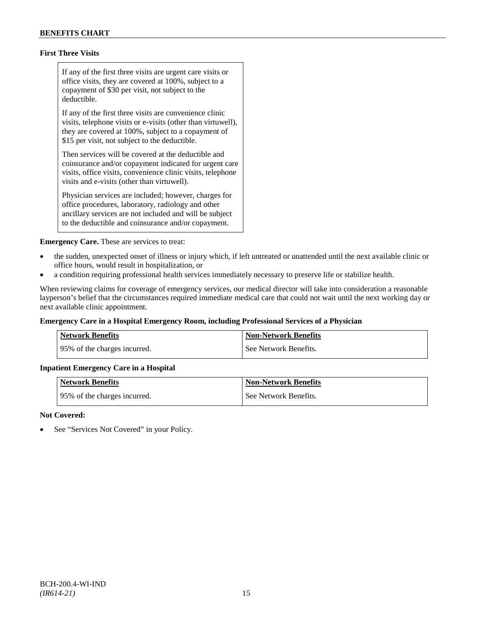## **First Three Visits**

If any of the first three visits are urgent care visits or office visits, they are covered at 100%, subject to a copayment of \$30 per visit, not subject to the deductible.

If any of the first three visits are convenience clinic visits, telephone visits or e-visits (other than virtuwell), they are covered at 100%, subject to a copayment of \$15 per visit, not subject to the deductible.

Then services will be covered at the deductible and coinsurance and/or copayment indicated for urgent care visits, office visits, convenience clinic visits, telephone visits and e-visits (other than virtuwell).

Physician services are included; however, charges for office procedures, laboratory, radiology and other ancillary services are not included and will be subject to the deductible and coinsurance and/or copayment.

**Emergency Care.** These are services to treat:

- the sudden, unexpected onset of illness or injury which, if left untreated or unattended until the next available clinic or office hours, would result in hospitalization, or
- a condition requiring professional health services immediately necessary to preserve life or stabilize health.

When reviewing claims for coverage of emergency services, our medical director will take into consideration a reasonable layperson's belief that the circumstances required immediate medical care that could not wait until the next working day or next available clinic appointment.

## **Emergency Care in a Hospital Emergency Room, including Professional Services of a Physician**

| Network Benefits             | <b>Non-Network Benefits</b> |
|------------------------------|-----------------------------|
| 95% of the charges incurred. | See Network Benefits.       |

## **Inpatient Emergency Care in a Hospital**

| <b>Network Benefits</b>      | <b>Non-Network Benefits</b> |
|------------------------------|-----------------------------|
| 95% of the charges incurred. | See Network Benefits.       |

#### **Not Covered:**

See "Services Not Covered" in your Policy.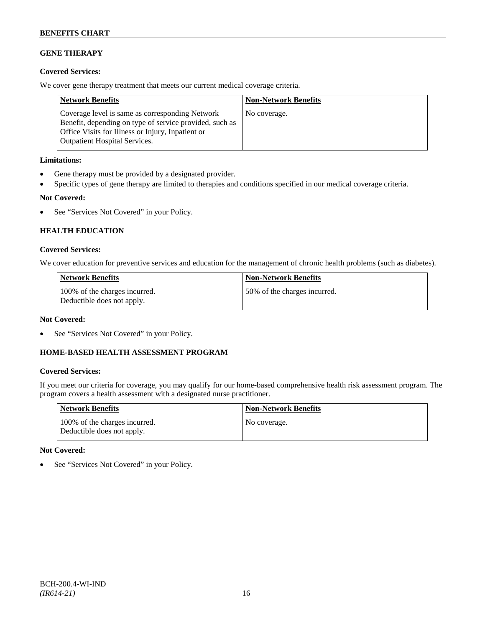## **GENE THERAPY**

## **Covered Services:**

We cover gene therapy treatment that meets our current medical coverage criteria.

| <b>Network Benefits</b>                                                                                                                                                                                 | <b>Non-Network Benefits</b> |
|---------------------------------------------------------------------------------------------------------------------------------------------------------------------------------------------------------|-----------------------------|
| Coverage level is same as corresponding Network<br>Benefit, depending on type of service provided, such as<br>Office Visits for Illness or Injury, Inpatient or<br><b>Outpatient Hospital Services.</b> | No coverage.                |

## **Limitations:**

- Gene therapy must be provided by a designated provider.
- Specific types of gene therapy are limited to therapies and conditions specified in our medical coverage criteria.

## **Not Covered:**

• See "Services Not Covered" in your Policy.

## **HEALTH EDUCATION**

## **Covered Services:**

We cover education for preventive services and education for the management of chronic health problems (such as diabetes).

| <b>Network Benefits</b>                                     | Non-Network Benefits         |
|-------------------------------------------------------------|------------------------------|
| 100% of the charges incurred.<br>Deductible does not apply. | 50% of the charges incurred. |

## **Not Covered:**

See "Services Not Covered" in your Policy.

## **HOME-BASED HEALTH ASSESSMENT PROGRAM**

## **Covered Services:**

If you meet our criteria for coverage, you may qualify for our home-based comprehensive health risk assessment program. The program covers a health assessment with a designated nurse practitioner.

| <b>Network Benefits</b>                                     | <b>Non-Network Benefits</b> |
|-------------------------------------------------------------|-----------------------------|
| 100% of the charges incurred.<br>Deductible does not apply. | No coverage.                |

## **Not Covered:**

• See "Services Not Covered" in your Policy.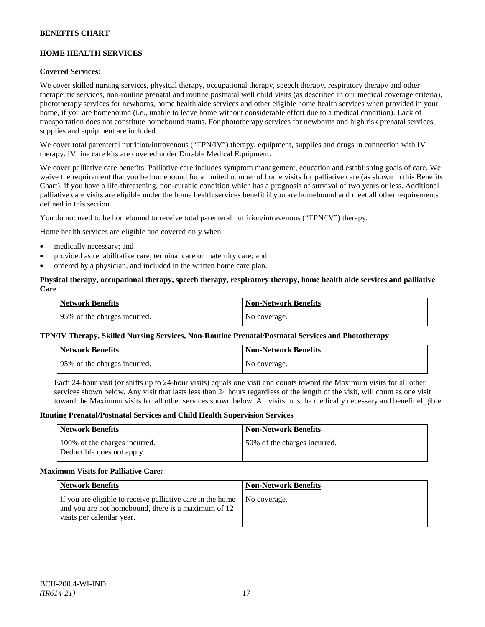## **HOME HEALTH SERVICES**

## **Covered Services:**

We cover skilled nursing services, physical therapy, occupational therapy, speech therapy, respiratory therapy and other therapeutic services, non-routine prenatal and routine postnatal well child visits (as described in our medical coverage criteria), phototherapy services for newborns, home health aide services and other eligible home health services when provided in your home, if you are homebound (i.e., unable to leave home without considerable effort due to a medical condition). Lack of transportation does not constitute homebound status. For phototherapy services for newborns and high risk prenatal services, supplies and equipment are included.

We cover total parenteral nutrition/intravenous ("TPN/IV") therapy, equipment, supplies and drugs in connection with IV therapy. IV line care kits are covered under Durable Medical Equipment.

We cover palliative care benefits. Palliative care includes symptom management, education and establishing goals of care. We waive the requirement that you be homebound for a limited number of home visits for palliative care (as shown in this Benefits Chart), if you have a life-threatening, non-curable condition which has a prognosis of survival of two years or less. Additional palliative care visits are eligible under the home health services benefit if you are homebound and meet all other requirements defined in this section.

You do not need to be homebound to receive total parenteral nutrition/intravenous ("TPN/IV") therapy.

Home health services are eligible and covered only when:

- medically necessary; and
- provided as rehabilitative care, terminal care or maternity care; and
- ordered by a physician, and included in the written home care plan.

### **Physical therapy, occupational therapy, speech therapy, respiratory therapy, home health aide services and palliative Care**

| <b>Network Benefits</b>      | Non-Network Benefits |
|------------------------------|----------------------|
| 95% of the charges incurred. | No coverage.         |

## **TPN/IV Therapy, Skilled Nursing Services, Non-Routine Prenatal/Postnatal Services and Phototherapy**

| Network Benefits             | Non-Network Benefits |
|------------------------------|----------------------|
| 95% of the charges incurred. | No coverage.         |

Each 24-hour visit (or shifts up to 24-hour visits) equals one visit and counts toward the Maximum visits for all other services shown below. Any visit that lasts less than 24 hours regardless of the length of the visit, will count as one visit toward the Maximum visits for all other services shown below. All visits must be medically necessary and benefit eligible.

#### **Routine Prenatal/Postnatal Services and Child Health Supervision Services**

| <b>Network Benefits</b>                                     | <b>Non-Network Benefits</b>  |
|-------------------------------------------------------------|------------------------------|
| 100% of the charges incurred.<br>Deductible does not apply. | 50% of the charges incurred. |

#### **Maximum Visits for Palliative Care:**

| <b>Network Benefits</b>                                                                                                                        | <b>Non-Network Benefits</b> |
|------------------------------------------------------------------------------------------------------------------------------------------------|-----------------------------|
| If you are eligible to receive palliative care in the home<br>and you are not homebound, there is a maximum of 12<br>visits per calendar year. | No coverage.                |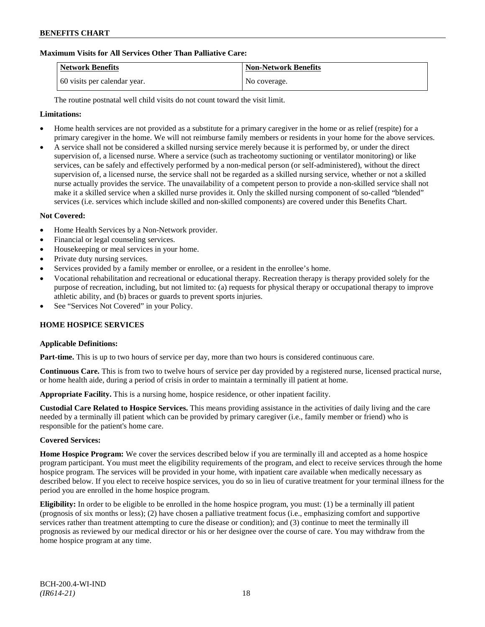## **Maximum Visits for All Services Other Than Palliative Care:**

| Network Benefits             | <b>Non-Network Benefits</b> |
|------------------------------|-----------------------------|
| 60 visits per calendar year. | No coverage.                |

The routine postnatal well child visits do not count toward the visit limit.

## **Limitations:**

- Home health services are not provided as a substitute for a primary caregiver in the home or as relief (respite) for a primary caregiver in the home. We will not reimburse family members or residents in your home for the above services.
- A service shall not be considered a skilled nursing service merely because it is performed by, or under the direct supervision of, a licensed nurse. Where a service (such as tracheotomy suctioning or ventilator monitoring) or like services, can be safely and effectively performed by a non-medical person (or self-administered), without the direct supervision of, a licensed nurse, the service shall not be regarded as a skilled nursing service, whether or not a skilled nurse actually provides the service. The unavailability of a competent person to provide a non-skilled service shall not make it a skilled service when a skilled nurse provides it. Only the skilled nursing component of so-called "blended" services (i.e. services which include skilled and non-skilled components) are covered under this Benefits Chart.

## **Not Covered:**

- Home Health Services by a Non-Network provider.
- Financial or legal counseling services.
- Housekeeping or meal services in your home.
- Private duty nursing services.
- Services provided by a family member or enrollee, or a resident in the enrollee's home.
- Vocational rehabilitation and recreational or educational therapy. Recreation therapy is therapy provided solely for the purpose of recreation, including, but not limited to: (a) requests for physical therapy or occupational therapy to improve athletic ability, and (b) braces or guards to prevent sports injuries.
- See "Services Not Covered" in your Policy.

## **HOME HOSPICE SERVICES**

#### **Applicable Definitions:**

**Part-time.** This is up to two hours of service per day, more than two hours is considered continuous care.

**Continuous Care.** This is from two to twelve hours of service per day provided by a registered nurse, licensed practical nurse, or home health aide, during a period of crisis in order to maintain a terminally ill patient at home.

**Appropriate Facility.** This is a nursing home, hospice residence, or other inpatient facility.

**Custodial Care Related to Hospice Services.** This means providing assistance in the activities of daily living and the care needed by a terminally ill patient which can be provided by primary caregiver (i.e., family member or friend) who is responsible for the patient's home care.

## **Covered Services:**

**Home Hospice Program:** We cover the services described below if you are terminally ill and accepted as a home hospice program participant. You must meet the eligibility requirements of the program, and elect to receive services through the home hospice program. The services will be provided in your home, with inpatient care available when medically necessary as described below. If you elect to receive hospice services, you do so in lieu of curative treatment for your terminal illness for the period you are enrolled in the home hospice program.

**Eligibility:** In order to be eligible to be enrolled in the home hospice program, you must: (1) be a terminally ill patient (prognosis of six months or less); (2) have chosen a palliative treatment focus (i.e., emphasizing comfort and supportive services rather than treatment attempting to cure the disease or condition); and (3) continue to meet the terminally ill prognosis as reviewed by our medical director or his or her designee over the course of care. You may withdraw from the home hospice program at any time.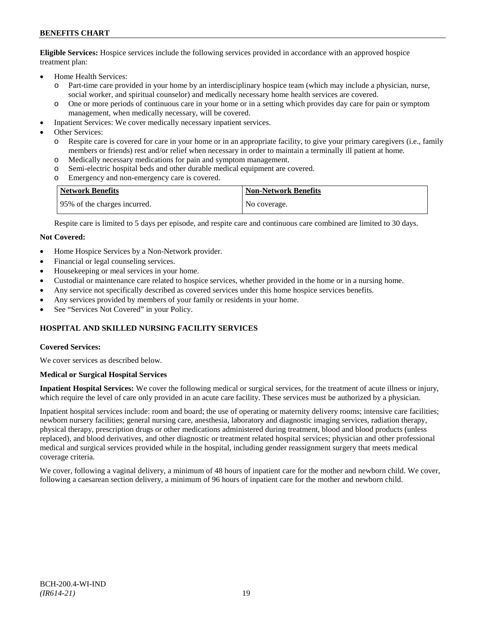**Eligible Services:** Hospice services include the following services provided in accordance with an approved hospice treatment plan:

- Home Health Services:
	- o Part-time care provided in your home by an interdisciplinary hospice team (which may include a physician, nurse, social worker, and spiritual counselor) and medically necessary home health services are covered.
	- o One or more periods of continuous care in your home or in a setting which provides day care for pain or symptom management, when medically necessary, will be covered.
- Inpatient Services: We cover medically necessary inpatient services.
- Other Services:
	- o Respite care is covered for care in your home or in an appropriate facility, to give your primary caregivers (i.e., family members or friends) rest and/or relief when necessary in order to maintain a terminally ill patient at home*.*
	- o Medically necessary medications for pain and symptom management.
	- o Semi-electric hospital beds and other durable medical equipment are covered.
	- o Emergency and non-emergency care is covered.

| <b>Network Benefits</b>       | <b>Non-Network Benefits</b> |
|-------------------------------|-----------------------------|
| 195% of the charges incurred. | No coverage.                |

Respite care is limited to 5 days per episode, and respite care and continuous care combined are limited to 30 days.

### **Not Covered:**

- Home Hospice Services by a Non-Network provider.
- Financial or legal counseling services.
- Housekeeping or meal services in your home.
- Custodial or maintenance care related to hospice services, whether provided in the home or in a nursing home.
- Any service not specifically described as covered services under this home hospice services benefits.
- Any services provided by members of your family or residents in your home.
- See "Services Not Covered" in your Policy.

## **HOSPITAL AND SKILLED NURSING FACILITY SERVICES**

#### **Covered Services:**

We cover services as described below.

#### **Medical or Surgical Hospital Services**

**Inpatient Hospital Services:** We cover the following medical or surgical services, for the treatment of acute illness or injury, which require the level of care only provided in an acute care facility. These services must be authorized by a physician.

Inpatient hospital services include: room and board; the use of operating or maternity delivery rooms; intensive care facilities; newborn nursery facilities; general nursing care, anesthesia, laboratory and diagnostic imaging services, radiation therapy, physical therapy, prescription drugs or other medications administered during treatment, blood and blood products (unless replaced), and blood derivatives, and other diagnostic or treatment related hospital services; physician and other professional medical and surgical services provided while in the hospital, including gender reassignment surgery that meets medical coverage criteria.

We cover, following a vaginal delivery, a minimum of 48 hours of inpatient care for the mother and newborn child. We cover, following a caesarean section delivery, a minimum of 96 hours of inpatient care for the mother and newborn child.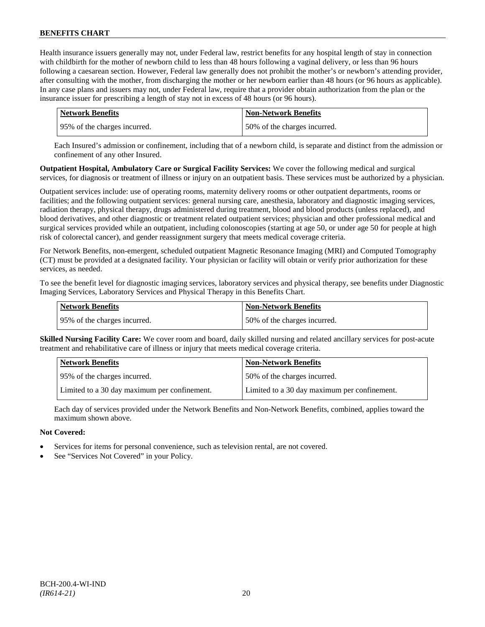Health insurance issuers generally may not, under Federal law, restrict benefits for any hospital length of stay in connection with childbirth for the mother of newborn child to less than 48 hours following a vaginal delivery, or less than 96 hours following a caesarean section. However, Federal law generally does not prohibit the mother's or newborn's attending provider, after consulting with the mother, from discharging the mother or her newborn earlier than 48 hours (or 96 hours as applicable). In any case plans and issuers may not, under Federal law, require that a provider obtain authorization from the plan or the insurance issuer for prescribing a length of stay not in excess of 48 hours (or 96 hours).

| <b>Network Benefits</b>       | <b>Non-Network Benefits</b>  |
|-------------------------------|------------------------------|
| 195% of the charges incurred. | 50% of the charges incurred. |

Each Insured's admission or confinement, including that of a newborn child, is separate and distinct from the admission or confinement of any other Insured.

**Outpatient Hospital, Ambulatory Care or Surgical Facility Services:** We cover the following medical and surgical services, for diagnosis or treatment of illness or injury on an outpatient basis. These services must be authorized by a physician.

Outpatient services include: use of operating rooms, maternity delivery rooms or other outpatient departments, rooms or facilities; and the following outpatient services: general nursing care, anesthesia, laboratory and diagnostic imaging services, radiation therapy, physical therapy, drugs administered during treatment, blood and blood products (unless replaced), and blood derivatives, and other diagnostic or treatment related outpatient services; physician and other professional medical and surgical services provided while an outpatient, including colonoscopies (starting at age 50, or under age 50 for people at high risk of colorectal cancer), and gender reassignment surgery that meets medical coverage criteria.

For Network Benefits, non-emergent, scheduled outpatient Magnetic Resonance Imaging (MRI) and Computed Tomography (CT) must be provided at a designated facility. Your physician or facility will obtain or verify prior authorization for these services, as needed.

To see the benefit level for diagnostic imaging services, laboratory services and physical therapy, see benefits under Diagnostic Imaging Services, Laboratory Services and Physical Therapy in this Benefits Chart.

| <b>Network Benefits</b>      | <b>Non-Network Benefits</b>  |
|------------------------------|------------------------------|
| 95% of the charges incurred. | 50% of the charges incurred. |

**Skilled Nursing Facility Care:** We cover room and board, daily skilled nursing and related ancillary services for post-acute treatment and rehabilitative care of illness or injury that meets medical coverage criteria.

| <b>Network Benefits</b>                      | <b>Non-Network Benefits</b>                  |
|----------------------------------------------|----------------------------------------------|
| 95% of the charges incurred.                 | 50% of the charges incurred.                 |
| Limited to a 30 day maximum per confinement. | Limited to a 30 day maximum per confinement. |

Each day of services provided under the Network Benefits and Non-Network Benefits, combined, applies toward the maximum shown above.

## **Not Covered:**

- Services for items for personal convenience, such as television rental, are not covered.
- See "Services Not Covered" in your Policy.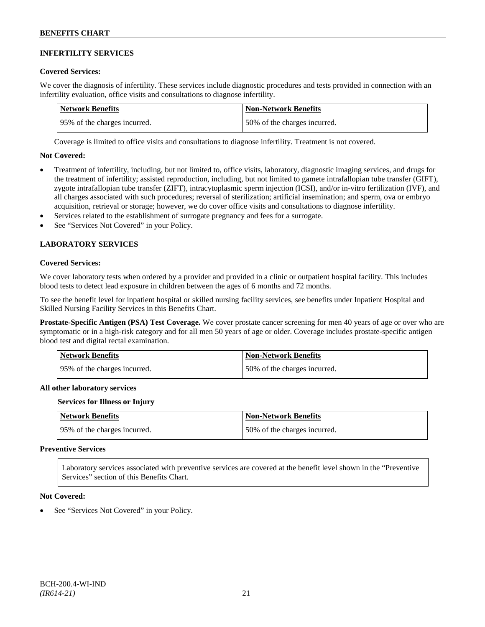### **INFERTILITY SERVICES**

#### **Covered Services:**

We cover the diagnosis of infertility. These services include diagnostic procedures and tests provided in connection with an infertility evaluation, office visits and consultations to diagnose infertility.

| Network Benefits             | <b>Non-Network Benefits</b>  |
|------------------------------|------------------------------|
| 95% of the charges incurred. | 50% of the charges incurred. |

Coverage is limited to office visits and consultations to diagnose infertility. Treatment is not covered.

#### **Not Covered:**

- Treatment of infertility, including, but not limited to, office visits, laboratory, diagnostic imaging services, and drugs for the treatment of infertility; assisted reproduction, including, but not limited to gamete intrafallopian tube transfer (GIFT), zygote intrafallopian tube transfer (ZIFT), intracytoplasmic sperm injection (ICSI), and/or in-vitro fertilization (IVF), and all charges associated with such procedures; reversal of sterilization; artificial insemination; and sperm, ova or embryo acquisition, retrieval or storage; however, we do cover office visits and consultations to diagnose infertility.
- Services related to the establishment of surrogate pregnancy and fees for a surrogate.
- See "Services Not Covered" in your Policy.

## **LABORATORY SERVICES**

### **Covered Services:**

We cover laboratory tests when ordered by a provider and provided in a clinic or outpatient hospital facility. This includes blood tests to detect lead exposure in children between the ages of 6 months and 72 months.

To see the benefit level for inpatient hospital or skilled nursing facility services, see benefits under Inpatient Hospital and Skilled Nursing Facility Services in this Benefits Chart.

**Prostate-Specific Antigen (PSA) Test Coverage.** We cover prostate cancer screening for men 40 years of age or over who are symptomatic or in a high-risk category and for all men 50 years of age or older. Coverage includes prostate-specific antigen blood test and digital rectal examination.

| <b>Network Benefits</b>      | <b>Non-Network Benefits</b>  |
|------------------------------|------------------------------|
| 95% of the charges incurred. | 50% of the charges incurred. |

#### **All other laboratory services**

#### **Services for Illness or Injury**

| <b>Network Benefits</b>      | <b>Non-Network Benefits</b>  |
|------------------------------|------------------------------|
| 95% of the charges incurred. | 50% of the charges incurred. |

#### **Preventive Services**

Laboratory services associated with preventive services are covered at the benefit level shown in the "Preventive Services" section of this Benefits Chart.

#### **Not Covered:**

See "Services Not Covered" in your Policy.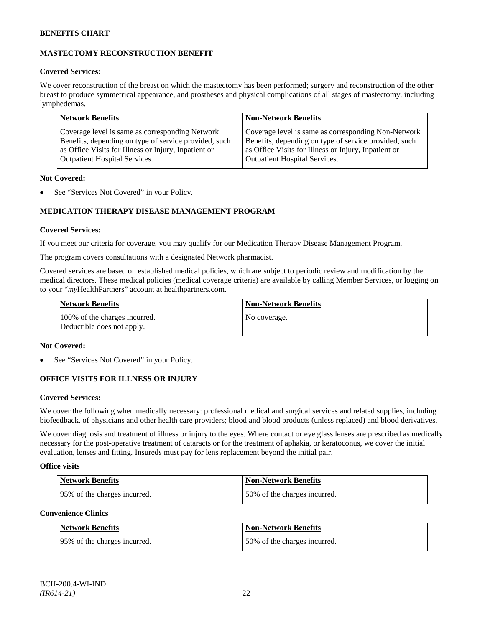## **MASTECTOMY RECONSTRUCTION BENEFIT**

## **Covered Services:**

We cover reconstruction of the breast on which the mastectomy has been performed; surgery and reconstruction of the other breast to produce symmetrical appearance, and prostheses and physical complications of all stages of mastectomy, including lymphedemas.

| <b>Network Benefits</b>                               | <b>Non-Network Benefits</b>                           |
|-------------------------------------------------------|-------------------------------------------------------|
| Coverage level is same as corresponding Network       | Coverage level is same as corresponding Non-Network   |
| Benefits, depending on type of service provided, such | Benefits, depending on type of service provided, such |
| as Office Visits for Illness or Injury, Inpatient or  | as Office Visits for Illness or Injury, Inpatient or  |
| <b>Outpatient Hospital Services.</b>                  | Outpatient Hospital Services.                         |

## **Not Covered:**

See "Services Not Covered" in your Policy.

## **MEDICATION THERAPY DISEASE MANAGEMENT PROGRAM**

## **Covered Services:**

If you meet our criteria for coverage, you may qualify for our Medication Therapy Disease Management Program.

The program covers consultations with a designated Network pharmacist.

Covered services are based on established medical policies, which are subject to periodic review and modification by the medical directors. These medical policies (medical coverage criteria) are available by calling Member Services, or logging on to your "*my*HealthPartners" account at [healthpartners.com.](http://www.healthpartners.com/)

| <b>Network Benefits</b>                                     | <b>Non-Network Benefits</b> |
|-------------------------------------------------------------|-----------------------------|
| 100% of the charges incurred.<br>Deductible does not apply. | No coverage.                |

## **Not Covered:**

See "Services Not Covered" in your Policy.

## **OFFICE VISITS FOR ILLNESS OR INJURY**

## **Covered Services:**

We cover the following when medically necessary: professional medical and surgical services and related supplies, including biofeedback, of physicians and other health care providers; blood and blood products (unless replaced) and blood derivatives.

We cover diagnosis and treatment of illness or injury to the eyes. Where contact or eye glass lenses are prescribed as medically necessary for the post-operative treatment of cataracts or for the treatment of aphakia, or keratoconus, we cover the initial evaluation, lenses and fitting. Insureds must pay for lens replacement beyond the initial pair.

## **Office visits**

| Network Benefits             | <b>Non-Network Benefits</b>  |
|------------------------------|------------------------------|
| 95% of the charges incurred. | 50% of the charges incurred. |

## **Convenience Clinics**

| <b>Network Benefits</b>      | <b>Non-Network Benefits</b>  |
|------------------------------|------------------------------|
| 95% of the charges incurred. | 50% of the charges incurred. |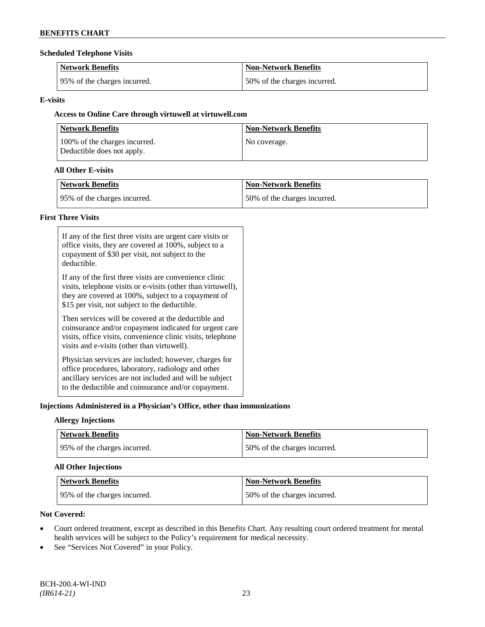### **Scheduled Telephone Visits**

| <b>Network Benefits</b>      | <b>Non-Network Benefits</b>  |
|------------------------------|------------------------------|
| 95% of the charges incurred. | 50% of the charges incurred. |

## **E-visits**

## **Access to Online Care through virtuwell a[t virtuwell.com](http://www.virtuwell.com/)**

| <b>Network Benefits</b>                                     | <b>Non-Network Benefits</b> |
|-------------------------------------------------------------|-----------------------------|
| 100% of the charges incurred.<br>Deductible does not apply. | No coverage.                |

## **All Other E-visits**

| <b>Network Benefits</b>      | <b>Non-Network Benefits</b>  |
|------------------------------|------------------------------|
| 95% of the charges incurred. | 50% of the charges incurred. |

## **First Three Visits**

| If any of the first three visits are urgent care visits or<br>office visits, they are covered at 100%, subject to a<br>copayment of \$30 per visit, not subject to the<br>deductible.                                            |
|----------------------------------------------------------------------------------------------------------------------------------------------------------------------------------------------------------------------------------|
| If any of the first three visits are convenience clinic<br>visits, telephone visits or e-visits (other than virtuwell),<br>they are covered at 100%, subject to a copayment of<br>\$15 per visit, not subject to the deductible. |
| Then services will be covered at the deductible and<br>coinsurance and/or copayment indicated for urgent care<br>visits, office visits, convenience clinic visits, telephone<br>visits and e-visits (other than virtuwell).      |
| Physician services are included; however, charges for<br>office procedures, laboratory, radiology and other<br>ancillary services are not included and will be subject<br>to the deductible and coinsurance and/or copayment.    |

## **Injections Administered in a Physician's Office, other than immunizations**

## **Allergy Injections**

| Network Benefits              | <b>Non-Network Benefits</b>  |
|-------------------------------|------------------------------|
| 195% of the charges incurred. | 50% of the charges incurred. |

## **All Other Injections**

| Network Benefits             | <b>Non-Network Benefits</b>  |
|------------------------------|------------------------------|
| 95% of the charges incurred. | 50% of the charges incurred. |

## **Not Covered:**

- Court ordered treatment, except as described in this Benefits Chart. Any resulting court ordered treatment for mental health services will be subject to the Policy's requirement for medical necessity.
- See "Services Not Covered" in your Policy.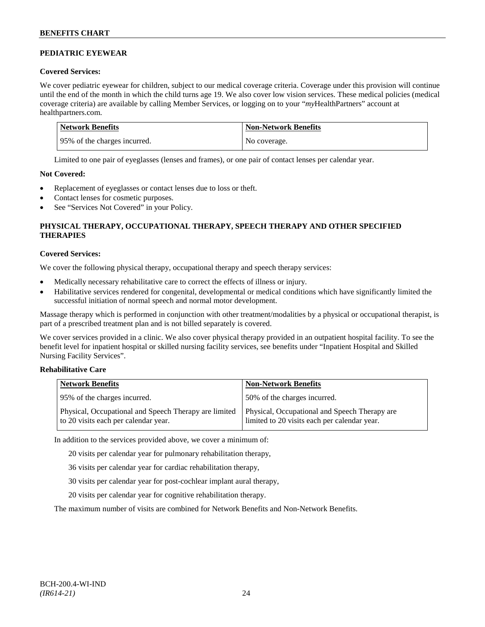## **PEDIATRIC EYEWEAR**

## **Covered Services:**

We cover pediatric eyewear for children, subject to our medical coverage criteria. Coverage under this provision will continue until the end of the month in which the child turns age 19. We also cover low vision services. These medical policies (medical coverage criteria) are available by calling Member Services, or logging on to your "*my*HealthPartners" account at [healthpartners.com.](http://www.healthpartners.com/)

| Network Benefits              | Non-Network Benefits |
|-------------------------------|----------------------|
| 195% of the charges incurred. | No coverage.         |

Limited to one pair of eyeglasses (lenses and frames), or one pair of contact lenses per calendar year.

## **Not Covered:**

- Replacement of eyeglasses or contact lenses due to loss or theft.
- Contact lenses for cosmetic purposes.
- See "Services Not Covered" in your Policy.

## **PHYSICAL THERAPY, OCCUPATIONAL THERAPY, SPEECH THERAPY AND OTHER SPECIFIED THERAPIES**

## **Covered Services:**

We cover the following physical therapy, occupational therapy and speech therapy services:

- Medically necessary rehabilitative care to correct the effects of illness or injury.
- Habilitative services rendered for congenital, developmental or medical conditions which have significantly limited the successful initiation of normal speech and normal motor development.

Massage therapy which is performed in conjunction with other treatment/modalities by a physical or occupational therapist, is part of a prescribed treatment plan and is not billed separately is covered.

We cover services provided in a clinic. We also cover physical therapy provided in an outpatient hospital facility. To see the benefit level for inpatient hospital or skilled nursing facility services, see benefits under "Inpatient Hospital and Skilled Nursing Facility Services".

## **Rehabilitative Care**

| <b>Network Benefits</b>                                                                       | <b>Non-Network Benefits</b>                                                                   |
|-----------------------------------------------------------------------------------------------|-----------------------------------------------------------------------------------------------|
| 95% of the charges incurred.                                                                  | 50% of the charges incurred.                                                                  |
| Physical, Occupational and Speech Therapy are limited<br>to 20 visits each per calendar year. | Physical, Occupational and Speech Therapy are<br>limited to 20 visits each per calendar year. |

In addition to the services provided above, we cover a minimum of:

20 visits per calendar year for pulmonary rehabilitation therapy,

- 36 visits per calendar year for cardiac rehabilitation therapy,
- 30 visits per calendar year for post-cochlear implant aural therapy,
- 20 visits per calendar year for cognitive rehabilitation therapy.

The maximum number of visits are combined for Network Benefits and Non-Network Benefits.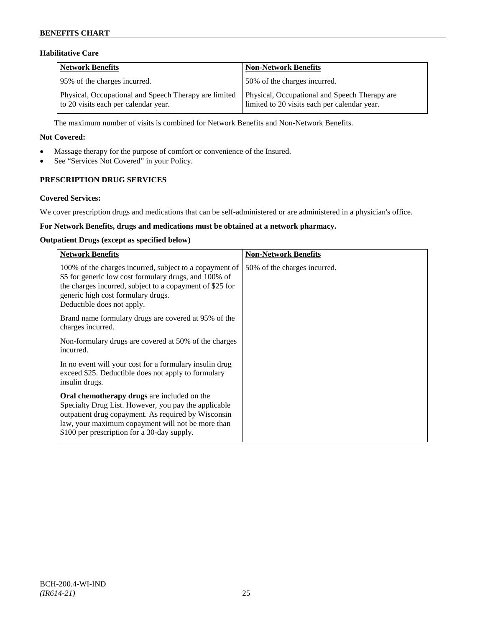## **Habilitative Care**

| <b>Network Benefits</b>                                                                       | <b>Non-Network Benefits</b>                                                                   |
|-----------------------------------------------------------------------------------------------|-----------------------------------------------------------------------------------------------|
| 95% of the charges incurred.                                                                  | 50% of the charges incurred.                                                                  |
| Physical, Occupational and Speech Therapy are limited<br>to 20 visits each per calendar year. | Physical, Occupational and Speech Therapy are<br>limited to 20 visits each per calendar year. |

The maximum number of visits is combined for Network Benefits and Non-Network Benefits.

### **Not Covered:**

- Massage therapy for the purpose of comfort or convenience of the Insured.
- See "Services Not Covered" in your Policy.

## **PRESCRIPTION DRUG SERVICES**

### **Covered Services:**

We cover prescription drugs and medications that can be self-administered or are administered in a physician's office.

## **For Network Benefits, drugs and medications must be obtained at a network pharmacy.**

### **Outpatient Drugs (except as specified below)**

| <b>Network Benefits</b>                                                                                                                                                                                                                                               | <b>Non-Network Benefits</b>  |
|-----------------------------------------------------------------------------------------------------------------------------------------------------------------------------------------------------------------------------------------------------------------------|------------------------------|
| 100% of the charges incurred, subject to a copayment of<br>\$5 for generic low cost formulary drugs, and 100% of<br>the charges incurred, subject to a copayment of \$25 for<br>generic high cost formulary drugs.<br>Deductible does not apply.                      | 50% of the charges incurred. |
| Brand name formulary drugs are covered at 95% of the<br>charges incurred.                                                                                                                                                                                             |                              |
| Non-formulary drugs are covered at 50% of the charges<br>incurred.                                                                                                                                                                                                    |                              |
| In no event will your cost for a formulary insulin drug<br>exceed \$25. Deductible does not apply to formulary<br>insulin drugs.                                                                                                                                      |                              |
| <b>Oral chemotherapy drugs</b> are included on the<br>Specialty Drug List. However, you pay the applicable<br>outpatient drug copayment. As required by Wisconsin<br>law, your maximum copayment will not be more than<br>\$100 per prescription for a 30-day supply. |                              |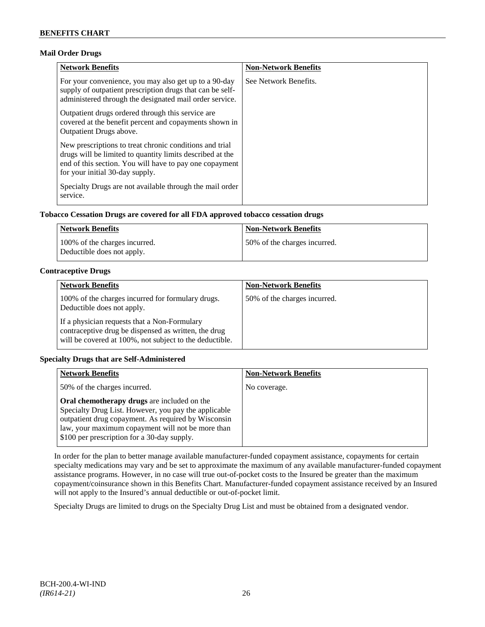## **Mail Order Drugs**

| <b>Network Benefits</b>                                                                                                                                                                                            | <b>Non-Network Benefits</b> |
|--------------------------------------------------------------------------------------------------------------------------------------------------------------------------------------------------------------------|-----------------------------|
| For your convenience, you may also get up to a 90-day<br>supply of outpatient prescription drugs that can be self-<br>administered through the designated mail order service.                                      | See Network Benefits.       |
| Outpatient drugs ordered through this service are.<br>covered at the benefit percent and copayments shown in<br><b>Outpatient Drugs above.</b>                                                                     |                             |
| New prescriptions to treat chronic conditions and trial<br>drugs will be limited to quantity limits described at the<br>end of this section. You will have to pay one copayment<br>for your initial 30-day supply. |                             |
| Specialty Drugs are not available through the mail order<br>service.                                                                                                                                               |                             |

## **Tobacco Cessation Drugs are covered for all FDA approved tobacco cessation drugs**

| Network Benefits                                            | <b>Non-Network Benefits</b>  |
|-------------------------------------------------------------|------------------------------|
| 100% of the charges incurred.<br>Deductible does not apply. | 50% of the charges incurred. |

## **Contraceptive Drugs**

| <b>Network Benefits</b>                                                                                                                                         | <b>Non-Network Benefits</b>  |
|-----------------------------------------------------------------------------------------------------------------------------------------------------------------|------------------------------|
| 100% of the charges incurred for formulary drugs.<br>Deductible does not apply.                                                                                 | 50% of the charges incurred. |
| If a physician requests that a Non-Formulary<br>contraceptive drug be dispensed as written, the drug<br>will be covered at 100%, not subject to the deductible. |                              |

## **Specialty Drugs that are Self-Administered**

| <b>Network Benefits</b>                                                                                                                                                                                                                                        | <b>Non-Network Benefits</b> |
|----------------------------------------------------------------------------------------------------------------------------------------------------------------------------------------------------------------------------------------------------------------|-----------------------------|
| 50% of the charges incurred.                                                                                                                                                                                                                                   | No coverage.                |
| Oral chemotherapy drugs are included on the<br>Specialty Drug List. However, you pay the applicable<br>outpatient drug copayment. As required by Wisconsin<br>law, your maximum copayment will not be more than<br>\$100 per prescription for a 30-day supply. |                             |

In order for the plan to better manage available manufacturer-funded copayment assistance, copayments for certain specialty medications may vary and be set to approximate the maximum of any available manufacturer-funded copayment assistance programs. However, in no case will true out-of-pocket costs to the Insured be greater than the maximum copayment/coinsurance shown in this Benefits Chart. Manufacturer-funded copayment assistance received by an Insured will not apply to the Insured's annual deductible or out-of-pocket limit.

Specialty Drugs are limited to drugs on the Specialty Drug List and must be obtained from a designated vendor.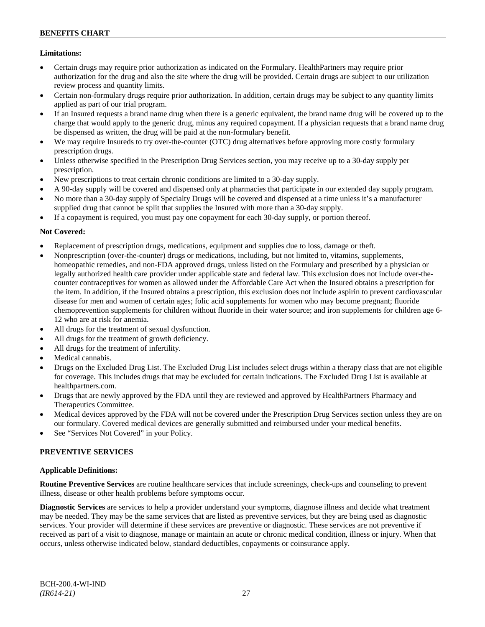## **Limitations:**

- Certain drugs may require prior authorization as indicated on the Formulary. HealthPartners may require prior authorization for the drug and also the site where the drug will be provided. Certain drugs are subject to our utilization review process and quantity limits.
- Certain non-formulary drugs require prior authorization. In addition, certain drugs may be subject to any quantity limits applied as part of our trial program.
- If an Insured requests a brand name drug when there is a generic equivalent, the brand name drug will be covered up to the charge that would apply to the generic drug, minus any required copayment. If a physician requests that a brand name drug be dispensed as written, the drug will be paid at the non-formulary benefit.
- We may require Insureds to try over-the-counter (OTC) drug alternatives before approving more costly formulary prescription drugs.
- Unless otherwise specified in the Prescription Drug Services section, you may receive up to a 30-day supply per prescription.
- New prescriptions to treat certain chronic conditions are limited to a 30-day supply.
- A 90-day supply will be covered and dispensed only at pharmacies that participate in our extended day supply program.
- No more than a 30-day supply of Specialty Drugs will be covered and dispensed at a time unless it's a manufacturer supplied drug that cannot be split that supplies the Insured with more than a 30-day supply.
- If a copayment is required, you must pay one copayment for each 30-day supply, or portion thereof.

## **Not Covered:**

- Replacement of prescription drugs, medications, equipment and supplies due to loss, damage or theft.
- Nonprescription (over-the-counter) drugs or medications, including, but not limited to, vitamins, supplements, homeopathic remedies, and non-FDA approved drugs, unless listed on the Formulary and prescribed by a physician or legally authorized health care provider under applicable state and federal law. This exclusion does not include over-thecounter contraceptives for women as allowed under the Affordable Care Act when the Insured obtains a prescription for the item. In addition, if the Insured obtains a prescription, this exclusion does not include aspirin to prevent cardiovascular disease for men and women of certain ages; folic acid supplements for women who may become pregnant; fluoride chemoprevention supplements for children without fluoride in their water source; and iron supplements for children age 6- 12 who are at risk for anemia.
- All drugs for the treatment of sexual dysfunction.
- All drugs for the treatment of growth deficiency.
- All drugs for the treatment of infertility.
- Medical cannabis.
- Drugs on the Excluded Drug List. The Excluded Drug List includes select drugs within a therapy class that are not eligible for coverage. This includes drugs that may be excluded for certain indications. The Excluded Drug List is available at [healthpartners.com.](http://www.healthpartners.com/)
- Drugs that are newly approved by the FDA until they are reviewed and approved by HealthPartners Pharmacy and Therapeutics Committee.
- Medical devices approved by the FDA will not be covered under the Prescription Drug Services section unless they are on our formulary. Covered medical devices are generally submitted and reimbursed under your medical benefits.
- See "Services Not Covered" in your Policy.

## **PREVENTIVE SERVICES**

## **Applicable Definitions:**

**Routine Preventive Services** are routine healthcare services that include screenings, check-ups and counseling to prevent illness, disease or other health problems before symptoms occur.

**Diagnostic Services** are services to help a provider understand your symptoms, diagnose illness and decide what treatment may be needed. They may be the same services that are listed as preventive services, but they are being used as diagnostic services. Your provider will determine if these services are preventive or diagnostic. These services are not preventive if received as part of a visit to diagnose, manage or maintain an acute or chronic medical condition, illness or injury. When that occurs, unless otherwise indicated below, standard deductibles, copayments or coinsurance apply.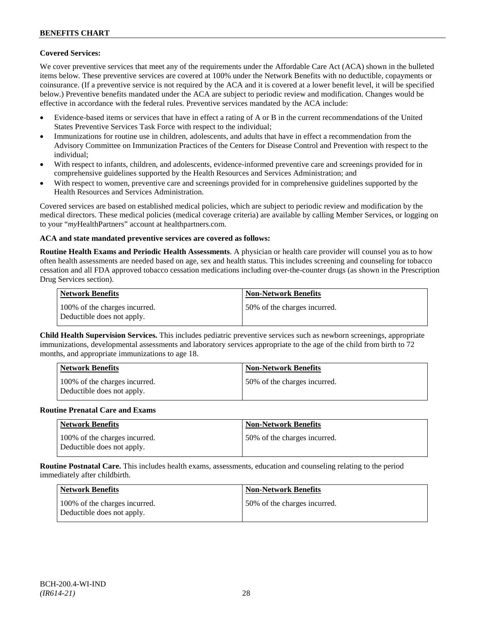## **Covered Services:**

We cover preventive services that meet any of the requirements under the Affordable Care Act (ACA) shown in the bulleted items below. These preventive services are covered at 100% under the Network Benefits with no deductible, copayments or coinsurance. (If a preventive service is not required by the ACA and it is covered at a lower benefit level, it will be specified below.) Preventive benefits mandated under the ACA are subject to periodic review and modification. Changes would be effective in accordance with the federal rules. Preventive services mandated by the ACA include:

- Evidence-based items or services that have in effect a rating of A or B in the current recommendations of the United States Preventive Services Task Force with respect to the individual;
- Immunizations for routine use in children, adolescents, and adults that have in effect a recommendation from the Advisory Committee on Immunization Practices of the Centers for Disease Control and Prevention with respect to the individual;
- With respect to infants, children, and adolescents, evidence-informed preventive care and screenings provided for in comprehensive guidelines supported by the Health Resources and Services Administration; and
- With respect to women, preventive care and screenings provided for in comprehensive guidelines supported by the Health Resources and Services Administration.

Covered services are based on established medical policies, which are subject to periodic review and modification by the medical directors. These medical policies (medical coverage criteria) are available by calling Member Services, or logging on to your "*my*HealthPartners" account at [healthpartners.com.](http://www.healthpartners.com/)

## **ACA and state mandated preventive services are covered as follows:**

**Routine Health Exams and Periodic Health Assessments**. A physician or health care provider will counsel you as to how often health assessments are needed based on age, sex and health status. This includes screening and counseling for tobacco cessation and all FDA approved tobacco cessation medications including over-the-counter drugs (as shown in the Prescription Drug Services section).

| <b>Network Benefits</b>                                     | <b>Non-Network Benefits</b>  |
|-------------------------------------------------------------|------------------------------|
| 100% of the charges incurred.<br>Deductible does not apply. | 50% of the charges incurred. |

**Child Health Supervision Services.** This includes pediatric preventive services such as newborn screenings, appropriate immunizations, developmental assessments and laboratory services appropriate to the age of the child from birth to 72 months, and appropriate immunizations to age 18.

| <b>Network Benefits</b>                                     | <b>Non-Network Benefits</b>  |
|-------------------------------------------------------------|------------------------------|
| 100% of the charges incurred.<br>Deductible does not apply. | 50% of the charges incurred. |

#### **Routine Prenatal Care and Exams**

| <b>Network Benefits</b>                                     | <b>Non-Network Benefits</b>  |
|-------------------------------------------------------------|------------------------------|
| 100% of the charges incurred.<br>Deductible does not apply. | 50% of the charges incurred. |

**Routine Postnatal Care.** This includes health exams, assessments, education and counseling relating to the period immediately after childbirth.

| Network Benefits                                            | <b>Non-Network Benefits</b>  |
|-------------------------------------------------------------|------------------------------|
| 100% of the charges incurred.<br>Deductible does not apply. | 50% of the charges incurred. |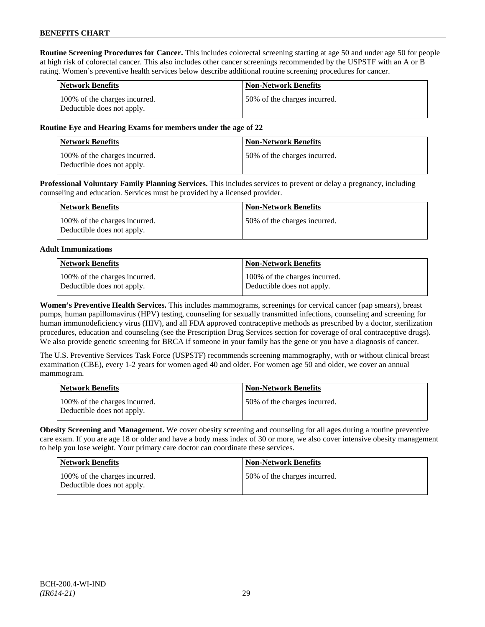**Routine Screening Procedures for Cancer.** This includes colorectal screening starting at age 50 and under age 50 for people at high risk of colorectal cancer. This also includes other cancer screenings recommended by the USPSTF with an A or B rating. Women's preventive health services below describe additional routine screening procedures for cancer.

| <b>Network Benefits</b>                                     | <b>Non-Network Benefits</b>  |
|-------------------------------------------------------------|------------------------------|
| 100% of the charges incurred.<br>Deductible does not apply. | 50% of the charges incurred. |

## **Routine Eye and Hearing Exams for members under the age of 22**

| <b>Network Benefits</b>                                     | <b>Non-Network Benefits</b>  |
|-------------------------------------------------------------|------------------------------|
| 100% of the charges incurred.<br>Deductible does not apply. | 50% of the charges incurred. |

**Professional Voluntary Family Planning Services.** This includes services to prevent or delay a pregnancy, including counseling and education. Services must be provided by a licensed provider.

| Network Benefits                                            | <b>Non-Network Benefits</b>   |
|-------------------------------------------------------------|-------------------------------|
| 100% of the charges incurred.<br>Deductible does not apply. | 150% of the charges incurred. |

### **Adult Immunizations**

| Network Benefits              | Non-Network Benefits          |
|-------------------------------|-------------------------------|
| 100% of the charges incurred. | 100% of the charges incurred. |
| Deductible does not apply.    | Deductible does not apply.    |

**Women's Preventive Health Services.** This includes mammograms, screenings for cervical cancer (pap smears), breast pumps, human papillomavirus (HPV) testing, counseling for sexually transmitted infections, counseling and screening for human immunodeficiency virus (HIV), and all FDA approved contraceptive methods as prescribed by a doctor, sterilization procedures, education and counseling (see the Prescription Drug Services section for coverage of oral contraceptive drugs). We also provide genetic screening for BRCA if someone in your family has the gene or you have a diagnosis of cancer.

The U.S. Preventive Services Task Force (USPSTF) recommends screening mammography, with or without clinical breast examination (CBE), every 1-2 years for women aged 40 and older. For women age 50 and older, we cover an annual mammogram.

| <b>Network Benefits</b>                                     | <b>Non-Network Benefits</b>  |
|-------------------------------------------------------------|------------------------------|
| 100% of the charges incurred.<br>Deductible does not apply. | 50% of the charges incurred. |

**Obesity Screening and Management.** We cover obesity screening and counseling for all ages during a routine preventive care exam. If you are age 18 or older and have a body mass index of 30 or more, we also cover intensive obesity management to help you lose weight. Your primary care doctor can coordinate these services.

| <b>Network Benefits</b>                                     | <b>Non-Network Benefits</b>  |
|-------------------------------------------------------------|------------------------------|
| 100% of the charges incurred.<br>Deductible does not apply. | 50% of the charges incurred. |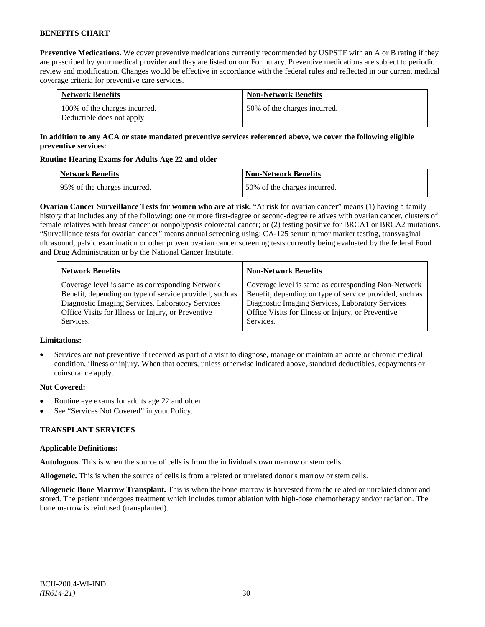**Preventive Medications.** We cover preventive medications currently recommended by USPSTF with an A or B rating if they are prescribed by your medical provider and they are listed on our Formulary. Preventive medications are subject to periodic review and modification. Changes would be effective in accordance with the federal rules and reflected in our current medical coverage criteria for preventive care services.

| <b>Network Benefits</b>                                     | <b>Non-Network Benefits</b>  |
|-------------------------------------------------------------|------------------------------|
| 100% of the charges incurred.<br>Deductible does not apply. | 50% of the charges incurred. |

## **In addition to any ACA or state mandated preventive services referenced above, we cover the following eligible preventive services:**

## **Routine Hearing Exams for Adults Age 22 and older**

| Network Benefits             | <b>Non-Network Benefits</b>  |
|------------------------------|------------------------------|
| 95% of the charges incurred. | 50% of the charges incurred. |

**Ovarian Cancer Surveillance Tests for women who are at risk.** "At risk for ovarian cancer" means (1) having a family history that includes any of the following: one or more first-degree or second-degree relatives with ovarian cancer, clusters of female relatives with breast cancer or nonpolyposis colorectal cancer; or (2) testing positive for BRCA1 or BRCA2 mutations. "Surveillance tests for ovarian cancer" means annual screening using: CA-125 serum tumor marker testing, transvaginal ultrasound, pelvic examination or other proven ovarian cancer screening tests currently being evaluated by the federal Food and Drug Administration or by the National Cancer Institute.

| <b>Network Benefits</b>                                 | <b>Non-Network Benefits</b>                             |
|---------------------------------------------------------|---------------------------------------------------------|
| Coverage level is same as corresponding Network         | Coverage level is same as corresponding Non-Network     |
| Benefit, depending on type of service provided, such as | Benefit, depending on type of service provided, such as |
| Diagnostic Imaging Services, Laboratory Services        | Diagnostic Imaging Services, Laboratory Services        |
| Office Visits for Illness or Injury, or Preventive      | Office Visits for Illness or Injury, or Preventive      |
| Services.                                               | Services.                                               |

## **Limitations:**

• Services are not preventive if received as part of a visit to diagnose, manage or maintain an acute or chronic medical condition, illness or injury. When that occurs, unless otherwise indicated above, standard deductibles, copayments or coinsurance apply.

## **Not Covered:**

- Routine eye exams for adults age 22 and older.
- See "Services Not Covered" in your Policy.

## **TRANSPLANT SERVICES**

## **Applicable Definitions:**

**Autologous.** This is when the source of cells is from the individual's own marrow or stem cells.

**Allogeneic.** This is when the source of cells is from a related or unrelated donor's marrow or stem cells.

**Allogeneic Bone Marrow Transplant.** This is when the bone marrow is harvested from the related or unrelated donor and stored. The patient undergoes treatment which includes tumor ablation with high-dose chemotherapy and/or radiation. The bone marrow is reinfused (transplanted).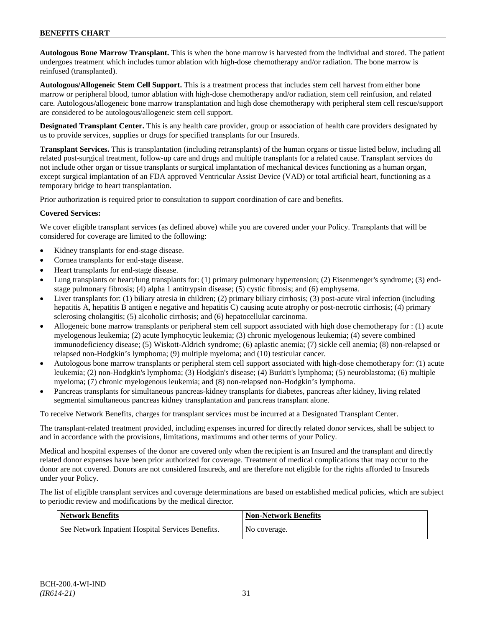**Autologous Bone Marrow Transplant.** This is when the bone marrow is harvested from the individual and stored. The patient undergoes treatment which includes tumor ablation with high-dose chemotherapy and/or radiation. The bone marrow is reinfused (transplanted).

**Autologous/Allogeneic Stem Cell Support.** This is a treatment process that includes stem cell harvest from either bone marrow or peripheral blood, tumor ablation with high-dose chemotherapy and/or radiation, stem cell reinfusion, and related care. Autologous/allogeneic bone marrow transplantation and high dose chemotherapy with peripheral stem cell rescue/support are considered to be autologous/allogeneic stem cell support.

**Designated Transplant Center.** This is any health care provider, group or association of health care providers designated by us to provide services, supplies or drugs for specified transplants for our Insureds.

**Transplant Services.** This is transplantation (including retransplants) of the human organs or tissue listed below, including all related post-surgical treatment, follow-up care and drugs and multiple transplants for a related cause. Transplant services do not include other organ or tissue transplants or surgical implantation of mechanical devices functioning as a human organ, except surgical implantation of an FDA approved Ventricular Assist Device (VAD) or total artificial heart, functioning as a temporary bridge to heart transplantation.

Prior authorization is required prior to consultation to support coordination of care and benefits.

## **Covered Services:**

We cover eligible transplant services (as defined above) while you are covered under your Policy. Transplants that will be considered for coverage are limited to the following:

- Kidney transplants for end-stage disease.
- Cornea transplants for end-stage disease.
- Heart transplants for end-stage disease.
- Lung transplants or heart/lung transplants for: (1) primary pulmonary hypertension; (2) Eisenmenger's syndrome; (3) endstage pulmonary fibrosis; (4) alpha 1 antitrypsin disease; (5) cystic fibrosis; and (6) emphysema.
- Liver transplants for: (1) biliary atresia in children; (2) primary biliary cirrhosis; (3) post-acute viral infection (including hepatitis A, hepatitis B antigen e negative and hepatitis C) causing acute atrophy or post-necrotic cirrhosis; (4) primary sclerosing cholangitis; (5) alcoholic cirrhosis; and (6) hepatocellular carcinoma.
- Allogeneic bone marrow transplants or peripheral stem cell support associated with high dose chemotherapy for : (1) acute myelogenous leukemia; (2) acute lymphocytic leukemia; (3) chronic myelogenous leukemia; (4) severe combined immunodeficiency disease; (5) Wiskott-Aldrich syndrome; (6) aplastic anemia; (7) sickle cell anemia; (8) non-relapsed or relapsed non-Hodgkin's lymphoma; (9) multiple myeloma; and (10) testicular cancer.
- Autologous bone marrow transplants or peripheral stem cell support associated with high-dose chemotherapy for: (1) acute leukemia; (2) non-Hodgkin's lymphoma; (3) Hodgkin's disease; (4) Burkitt's lymphoma; (5) neuroblastoma; (6) multiple myeloma; (7) chronic myelogenous leukemia; and (8) non-relapsed non-Hodgkin's lymphoma.
- Pancreas transplants for simultaneous pancreas-kidney transplants for diabetes, pancreas after kidney, living related segmental simultaneous pancreas kidney transplantation and pancreas transplant alone.

To receive Network Benefits, charges for transplant services must be incurred at a Designated Transplant Center.

The transplant-related treatment provided, including expenses incurred for directly related donor services, shall be subject to and in accordance with the provisions, limitations, maximums and other terms of your Policy.

Medical and hospital expenses of the donor are covered only when the recipient is an Insured and the transplant and directly related donor expenses have been prior authorized for coverage. Treatment of medical complications that may occur to the donor are not covered. Donors are not considered Insureds, and are therefore not eligible for the rights afforded to Insureds under your Policy.

The list of eligible transplant services and coverage determinations are based on established medical policies, which are subject to periodic review and modifications by the medical director.

| Network Benefits                                  | <b>Non-Network Benefits</b> |
|---------------------------------------------------|-----------------------------|
| See Network Inpatient Hospital Services Benefits. | No coverage.                |